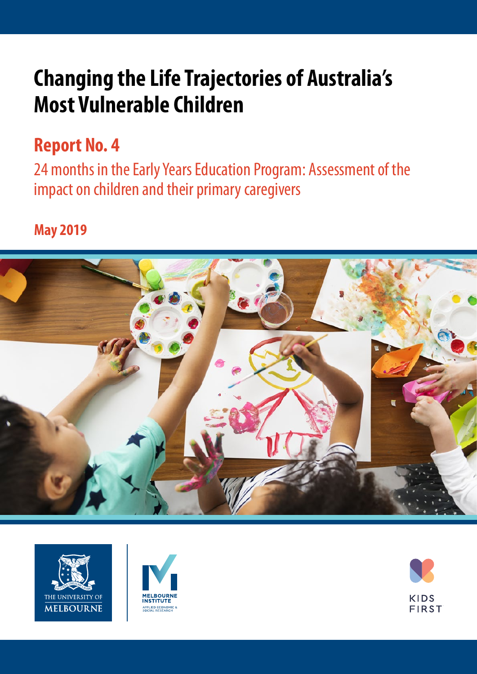# **Changing the Life Trajectories of Australia's Most Vulnerable Children**

# **Report No. 4**

24 months in the Early Years Education Program: Assessment of the impact on children and their primary caregivers

### **May 2019**







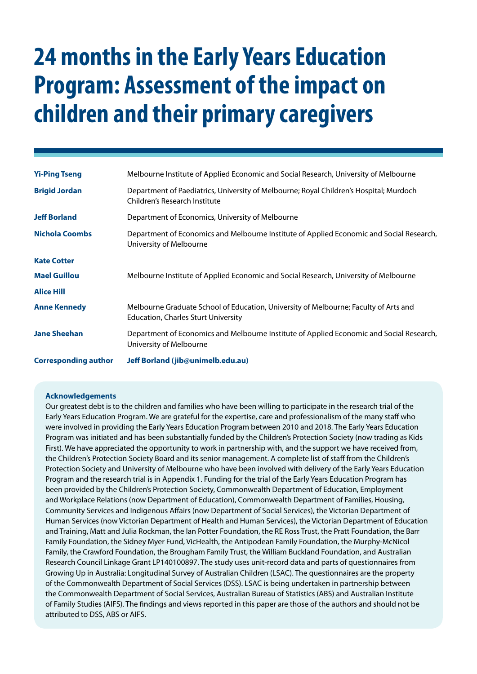# **24 months in the Early Years Education Program: Assessment of the impact on children and their primary caregivers**

| <b>Yi-Ping Tseng</b>        | Melbourne Institute of Applied Economic and Social Research, University of Melbourne                                               |
|-----------------------------|------------------------------------------------------------------------------------------------------------------------------------|
| <b>Brigid Jordan</b>        | Department of Paediatrics, University of Melbourne; Royal Children's Hospital; Murdoch<br>Children's Research Institute            |
| <b>Jeff Borland</b>         | Department of Economics, University of Melbourne                                                                                   |
| <b>Nichola Coombs</b>       | Department of Economics and Melbourne Institute of Applied Economic and Social Research,<br>University of Melbourne                |
| <b>Kate Cotter</b>          |                                                                                                                                    |
| <b>Mael Guillou</b>         | Melbourne Institute of Applied Economic and Social Research, University of Melbourne                                               |
| <b>Alice Hill</b>           |                                                                                                                                    |
| <b>Anne Kennedy</b>         | Melbourne Graduate School of Education, University of Melbourne; Faculty of Arts and<br><b>Education, Charles Sturt University</b> |
| <b>Jane Sheehan</b>         | Department of Economics and Melbourne Institute of Applied Economic and Social Research,<br>University of Melbourne                |
| <b>Corresponding author</b> | Jeff Borland (jib@unimelb.edu.au)                                                                                                  |

#### **Acknowledgements**

Our greatest debt is to the children and families who have been willing to participate in the research trial of the Early Years Education Program. We are grateful for the expertise, care and professionalism of the many staff who were involved in providing the Early Years Education Program between 2010 and 2018. The Early Years Education Program was initiated and has been substantially funded by the Children's Protection Society (now trading as Kids First). We have appreciated the opportunity to work in partnership with, and the support we have received from, the Children's Protection Society Board and its senior management. A complete list of staff from the Children's Protection Society and University of Melbourne who have been involved with delivery of the Early Years Education Program and the research trial is in Appendix 1. Funding for the trial of the Early Years Education Program has been provided by the Children's Protection Society, Commonwealth Department of Education, Employment and Workplace Relations (now Department of Education), Commonwealth Department of Families, Housing, Community Services and Indigenous Affairs (now Department of Social Services), the Victorian Department of Human Services (now Victorian Department of Health and Human Services), the Victorian Department of Education and Training, Matt and Julia Rockman, the Ian Potter Foundation, the RE Ross Trust, the Pratt Foundation, the Barr Family Foundation, the Sidney Myer Fund, VicHealth, the Antipodean Family Foundation, the Murphy-McNicol Family, the Crawford Foundation, the Brougham Family Trust, the William Buckland Foundation, and Australian Research Council Linkage Grant LP140100897. The study uses unit-record data and parts of questionnaires from Growing Up in Australia: Longitudinal Survey of Australian Children (LSAC). The questionnaires are the property of the Commonwealth Department of Social Services (DSS). LSAC is being undertaken in partnership between the Commonwealth Department of Social Services, Australian Bureau of Statistics (ABS) and Australian Institute of Family Studies (AIFS). The findings and views reported in this paper are those of the authors and should not be attributed to DSS, ABS or AIFS.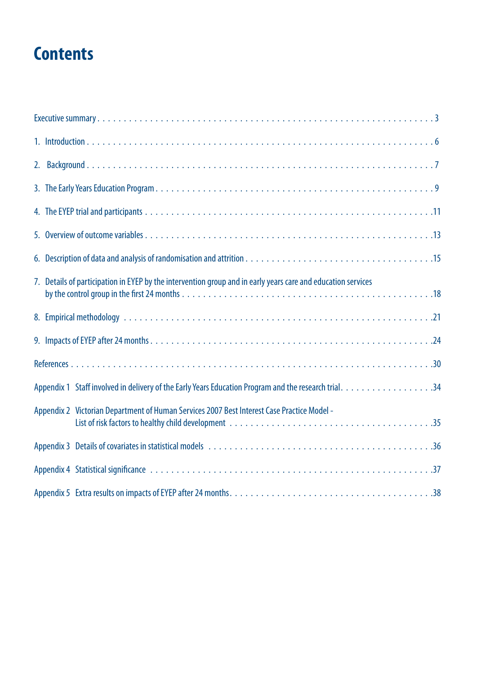# **Contents**

| 7. Details of participation in EYEP by the intervention group and in early years care and education services |
|--------------------------------------------------------------------------------------------------------------|
|                                                                                                              |
|                                                                                                              |
|                                                                                                              |
|                                                                                                              |
| Appendix 2 Victorian Department of Human Services 2007 Best Interest Case Practice Model -                   |
|                                                                                                              |
|                                                                                                              |
|                                                                                                              |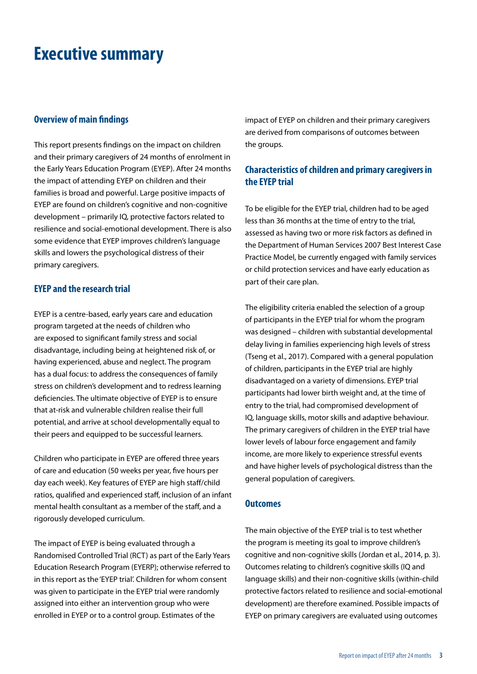### <span id="page-4-0"></span>**Executive summary**

#### **Overview of main findings**

This report presents findings on the impact on children and their primary caregivers of 24 months of enrolment in the Early Years Education Program (EYEP). After 24 months the impact of attending EYEP on children and their families is broad and powerful. Large positive impacts of EYEP are found on children's cognitive and non-cognitive development – primarily IQ, protective factors related to resilience and social-emotional development. There is also some evidence that EYEP improves children's language skills and lowers the psychological distress of their primary caregivers.

#### **EYEP and the research trial**

EYEP is a centre-based, early years care and education program targeted at the needs of children who are exposed to significant family stress and social disadvantage, including being at heightened risk of, or having experienced, abuse and neglect. The program has a dual focus: to address the consequences of family stress on children's development and to redress learning deficiencies. The ultimate objective of EYEP is to ensure that at-risk and vulnerable children realise their full potential, and arrive at school developmentally equal to their peers and equipped to be successful learners.

Children who participate in EYEP are offered three years of care and education (50 weeks per year, five hours per day each week). Key features of EYEP are high staff/child ratios, qualified and experienced staff, inclusion of an infant mental health consultant as a member of the staff, and a rigorously developed curriculum.

The impact of EYEP is being evaluated through a Randomised Controlled Trial (RCT) as part of the Early Years Education Research Program (EYERP); otherwise referred to in this report as the 'EYEP trial'. Children for whom consent was given to participate in the EYEP trial were randomly assigned into either an intervention group who were enrolled in EYEP or to a control group. Estimates of the

impact of EYEP on children and their primary caregivers are derived from comparisons of outcomes between the groups.

### **Characteristics of children and primary caregivers in the EYEP trial**

To be eligible for the EYEP trial, children had to be aged less than 36 months at the time of entry to the trial, assessed as having two or more risk factors as defined in the Department of Human Services 2007 Best Interest Case Practice Model, be currently engaged with family services or child protection services and have early education as part of their care plan.

The eligibility criteria enabled the selection of a group of participants in the EYEP trial for whom the program was designed – children with substantial developmental delay living in families experiencing high levels of stress (Tseng et al., 2017). Compared with a general population of children, participants in the EYEP trial are highly disadvantaged on a variety of dimensions. EYEP trial participants had lower birth weight and, at the time of entry to the trial, had compromised development of IQ, language skills, motor skills and adaptive behaviour. The primary caregivers of children in the EYEP trial have lower levels of labour force engagement and family income, are more likely to experience stressful events and have higher levels of psychological distress than the general population of caregivers.

#### **Outcomes**

The main objective of the EYEP trial is to test whether the program is meeting its goal to improve children's cognitive and non-cognitive skills (Jordan et al., 2014, p. 3). Outcomes relating to children's cognitive skills (IQ and language skills) and their non-cognitive skills (within-child protective factors related to resilience and social-emotional development) are therefore examined. Possible impacts of EYEP on primary caregivers are evaluated using outcomes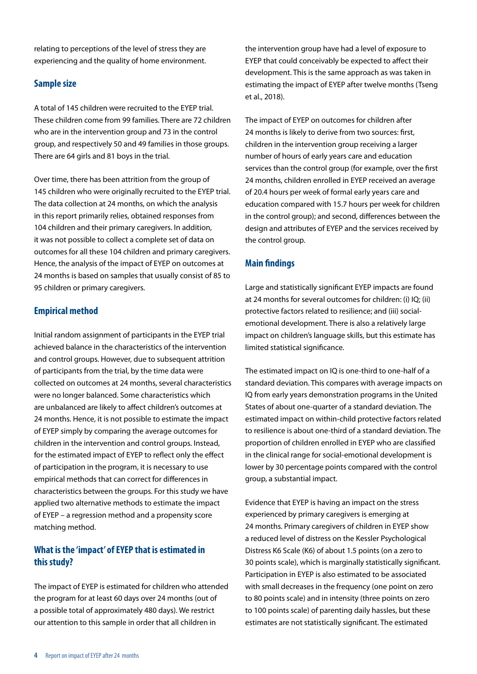relating to perceptions of the level of stress they are experiencing and the quality of home environment.

### **Sample size**

A total of 145 children were recruited to the EYEP trial. These children come from 99 families. There are 72 children who are in the intervention group and 73 in the control group, and respectively 50 and 49 families in those groups. There are 64 girls and 81 boys in the trial.

Over time, there has been attrition from the group of 145 children who were originally recruited to the EYEP trial. The data collection at 24 months, on which the analysis in this report primarily relies, obtained responses from 104 children and their primary caregivers. In addition, it was not possible to collect a complete set of data on outcomes for all these 104 children and primary caregivers. Hence, the analysis of the impact of EYEP on outcomes at 24 months is based on samples that usually consist of 85 to 95 children or primary caregivers.

### **Empirical method**

Initial random assignment of participants in the EYEP trial achieved balance in the characteristics of the intervention and control groups. However, due to subsequent attrition of participants from the trial, by the time data were collected on outcomes at 24 months, several characteristics were no longer balanced. Some characteristics which are unbalanced are likely to affect children's outcomes at 24 months. Hence, it is not possible to estimate the impact of EYEP simply by comparing the average outcomes for children in the intervention and control groups. Instead, for the estimated impact of EYEP to reflect only the effect of participation in the program, it is necessary to use empirical methods that can correct for differences in characteristics between the groups. For this study we have applied two alternative methods to estimate the impact of EYEP – a regression method and a propensity score matching method.

### **What is the 'impact' of EYEP that is estimated in this study?**

The impact of EYEP is estimated for children who attended the program for at least 60 days over 24 months (out of a possible total of approximately 480 days). We restrict our attention to this sample in order that all children in

the intervention group have had a level of exposure to EYEP that could conceivably be expected to affect their development. This is the same approach as was taken in estimating the impact of EYEP after twelve months (Tseng et al., 2018).

The impact of EYEP on outcomes for children after 24 months is likely to derive from two sources: first, children in the intervention group receiving a larger number of hours of early years care and education services than the control group (for example, over the first 24 months, children enrolled in EYEP received an average of 20.4 hours per week of formal early years care and education compared with 15.7 hours per week for children in the control group); and second, differences between the design and attributes of EYEP and the services received by the control group.

### **Main findings**

Large and statistically significant EYEP impacts are found at 24 months for several outcomes for children: (i) IQ; (ii) protective factors related to resilience; and (iii) socialemotional development. There is also a relatively large impact on children's language skills, but this estimate has limited statistical significance.

The estimated impact on IQ is one-third to one-half of a standard deviation. This compares with average impacts on IQ from early years demonstration programs in the United States of about one-quarter of a standard deviation. The estimated impact on within-child protective factors related to resilience is about one-third of a standard deviation. The proportion of children enrolled in EYEP who are classified in the clinical range for social-emotional development is lower by 30 percentage points compared with the control group, a substantial impact.

Evidence that EYEP is having an impact on the stress experienced by primary caregivers is emerging at 24 months. Primary caregivers of children in EYEP show a reduced level of distress on the Kessler Psychological Distress K6 Scale (K6) of about 1.5 points (on a zero to 30 points scale), which is marginally statistically significant. Participation in EYEP is also estimated to be associated with small decreases in the frequency (one point on zero to 80 points scale) and in intensity (three points on zero to 100 points scale) of parenting daily hassles, but these estimates are not statistically significant. The estimated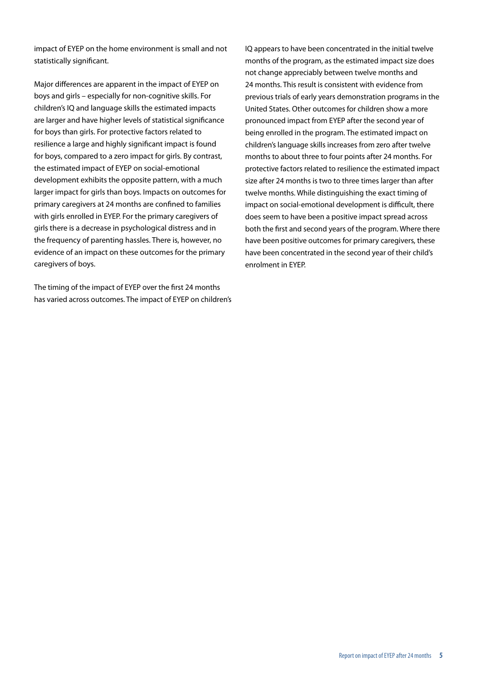impact of EYEP on the home environment is small and not statistically significant.

Major differences are apparent in the impact of EYEP on boys and girls – especially for non-cognitive skills. For children's IQ and language skills the estimated impacts are larger and have higher levels of statistical significance for boys than girls. For protective factors related to resilience a large and highly significant impact is found for boys, compared to a zero impact for girls. By contrast, the estimated impact of EYEP on social-emotional development exhibits the opposite pattern, with a much larger impact for girls than boys. Impacts on outcomes for primary caregivers at 24 months are confined to families with girls enrolled in EYEP. For the primary caregivers of girls there is a decrease in psychological distress and in the frequency of parenting hassles. There is, however, no evidence of an impact on these outcomes for the primary caregivers of boys.

The timing of the impact of EYEP over the first 24 months has varied across outcomes. The impact of EYEP on children's IQ appears to have been concentrated in the initial twelve months of the program, as the estimated impact size does not change appreciably between twelve months and 24 months. This result is consistent with evidence from previous trials of early years demonstration programs in the United States. Other outcomes for children show a more pronounced impact from EYEP after the second year of being enrolled in the program. The estimated impact on children's language skills increases from zero after twelve months to about three to four points after 24 months. For protective factors related to resilience the estimated impact size after 24 months is two to three times larger than after twelve months. While distinguishing the exact timing of impact on social-emotional development is difficult, there does seem to have been a positive impact spread across both the first and second years of the program. Where there have been positive outcomes for primary caregivers, these have been concentrated in the second year of their child's enrolment in EYEP.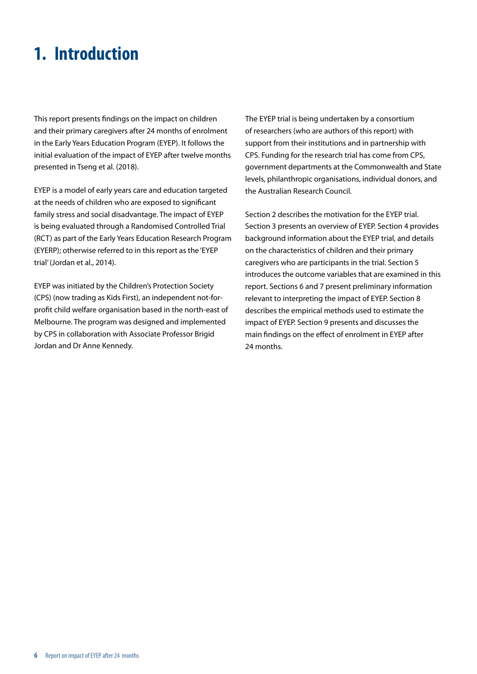# <span id="page-7-0"></span>**1. Introduction**

This report presents findings on the impact on children and their primary caregivers after 24 months of enrolment in the Early Years Education Program (EYEP). It follows the initial evaluation of the impact of EYEP after twelve months presented in Tseng et al. (2018).

EYEP is a model of early years care and education targeted at the needs of children who are exposed to significant family stress and social disadvantage. The impact of EYEP is being evaluated through a Randomised Controlled Trial (RCT) as part of the Early Years Education Research Program (EYERP); otherwise referred to in this report as the 'EYEP trial' (Jordan et al., 2014).

EYEP was initiated by the Children's Protection Society (CPS) (now trading as Kids First), an independent not-forprofit child welfare organisation based in the north-east of Melbourne. The program was designed and implemented by CPS in collaboration with Associate Professor Brigid Jordan and Dr Anne Kennedy.

The EYEP trial is being undertaken by a consortium of researchers (who are authors of this report) with support from their institutions and in partnership with CPS. Funding for the research trial has come from CPS, government departments at the Commonwealth and State levels, philanthropic organisations, individual donors, and the Australian Research Council.

Section 2 describes the motivation for the EYEP trial. Section 3 presents an overview of EYEP. Section 4 provides background information about the EYEP trial, and details on the characteristics of children and their primary caregivers who are participants in the trial. Section 5 introduces the outcome variables that are examined in this report. Sections 6 and 7 present preliminary information relevant to interpreting the impact of EYEP. Section 8 describes the empirical methods used to estimate the impact of EYEP. Section 9 presents and discusses the main findings on the effect of enrolment in EYEP after 24 months.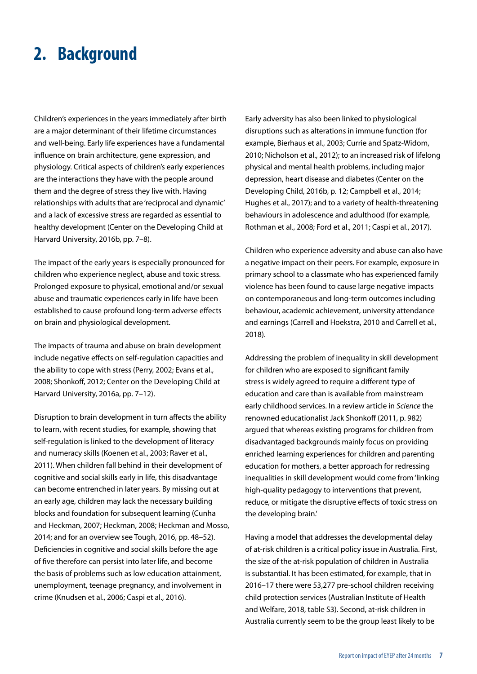### <span id="page-8-0"></span>**2. Background**

Children's experiences in the years immediately after birth are a major determinant of their lifetime circumstances and well-being. Early life experiences have a fundamental influence on brain architecture, gene expression, and physiology. Critical aspects of children's early experiences are the interactions they have with the people around them and the degree of stress they live with. Having relationships with adults that are 'reciprocal and dynamic' and a lack of excessive stress are regarded as essential to healthy development (Center on the Developing Child at Harvard University, 2016b, pp. 7–8).

The impact of the early years is especially pronounced for children who experience neglect, abuse and toxic stress. Prolonged exposure to physical, emotional and/or sexual abuse and traumatic experiences early in life have been established to cause profound long-term adverse effects on brain and physiological development.

The impacts of trauma and abuse on brain development include negative effects on self-regulation capacities and the ability to cope with stress (Perry, 2002; Evans et al., 2008; Shonkoff, 2012; Center on the Developing Child at Harvard University, 2016a, pp. 7–12).

Disruption to brain development in turn affects the ability to learn, with recent studies, for example, showing that self-regulation is linked to the development of literacy and numeracy skills (Koenen et al., 2003; Raver et al., 2011). When children fall behind in their development of cognitive and social skills early in life, this disadvantage can become entrenched in later years. By missing out at an early age, children may lack the necessary building blocks and foundation for subsequent learning (Cunha and Heckman, 2007; Heckman, 2008; Heckman and Mosso, 2014; and for an overview see Tough, 2016, pp. 48–52). Deficiencies in cognitive and social skills before the age of five therefore can persist into later life, and become the basis of problems such as low education attainment, unemployment, teenage pregnancy, and involvement in crime (Knudsen et al., 2006; Caspi et al., 2016).

Early adversity has also been linked to physiological disruptions such as alterations in immune function (for example, Bierhaus et al., 2003; Currie and Spatz-Widom, 2010; Nicholson et al., 2012); to an increased risk of lifelong physical and mental health problems, including major depression, heart disease and diabetes (Center on the Developing Child, 2016b, p. 12; Campbell et al., 2014; Hughes et al., 2017); and to a variety of health-threatening behaviours in adolescence and adulthood (for example, Rothman et al., 2008; Ford et al., 2011; Caspi et al., 2017).

Children who experience adversity and abuse can also have a negative impact on their peers. For example, exposure in primary school to a classmate who has experienced family violence has been found to cause large negative impacts on contemporaneous and long-term outcomes including behaviour, academic achievement, university attendance and earnings (Carrell and Hoekstra, 2010 and Carrell et al., 2018).

Addressing the problem of inequality in skill development for children who are exposed to significant family stress is widely agreed to require a different type of education and care than is available from mainstream early childhood services. In a review article in *Science* the renowned educationalist Jack Shonkoff (2011, p. 982) argued that whereas existing programs for children from disadvantaged backgrounds mainly focus on providing enriched learning experiences for children and parenting education for mothers, a better approach for redressing inequalities in skill development would come from 'linking high-quality pedagogy to interventions that prevent, reduce, or mitigate the disruptive effects of toxic stress on the developing brain.'

Having a model that addresses the developmental delay of at-risk children is a critical policy issue in Australia. First, the size of the at-risk population of children in Australia is substantial. It has been estimated, for example, that in 2016–17 there were 53,277 pre-school children receiving child protection services (Australian Institute of Health and Welfare, 2018, table S3). Second, at-risk children in Australia currently seem to be the group least likely to be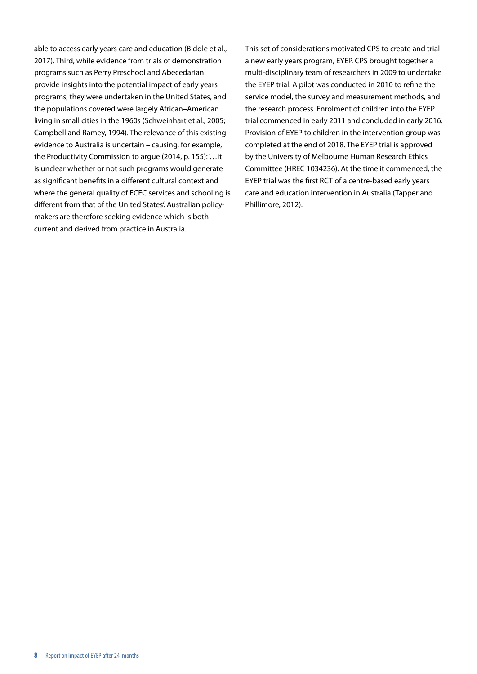able to access early years care and education (Biddle et al., 2017). Third, while evidence from trials of demonstration programs such as Perry Preschool and Abecedarian provide insights into the potential impact of early years programs, they were undertaken in the United States, and the populations covered were largely African–American living in small cities in the 1960s (Schweinhart et al., 2005; Campbell and Ramey, 1994). The relevance of this existing evidence to Australia is uncertain – causing, for example, the Productivity Commission to argue (2014, p. 155): '…it is unclear whether or not such programs would generate as significant benefits in a different cultural context and where the general quality of ECEC services and schooling is different from that of the United States'. Australian policymakers are therefore seeking evidence which is both current and derived from practice in Australia.

This set of considerations motivated CPS to create and trial a new early years program, EYEP. CPS brought together a multi-disciplinary team of researchers in 2009 to undertake the EYEP trial. A pilot was conducted in 2010 to refine the service model, the survey and measurement methods, and the research process. Enrolment of children into the EYEP trial commenced in early 2011 and concluded in early 2016. Provision of EYEP to children in the intervention group was completed at the end of 2018. The EYEP trial is approved by the University of Melbourne Human Research Ethics Committee (HREC 1034236). At the time it commenced, the EYEP trial was the first RCT of a centre-based early years care and education intervention in Australia (Tapper and Phillimore, 2012).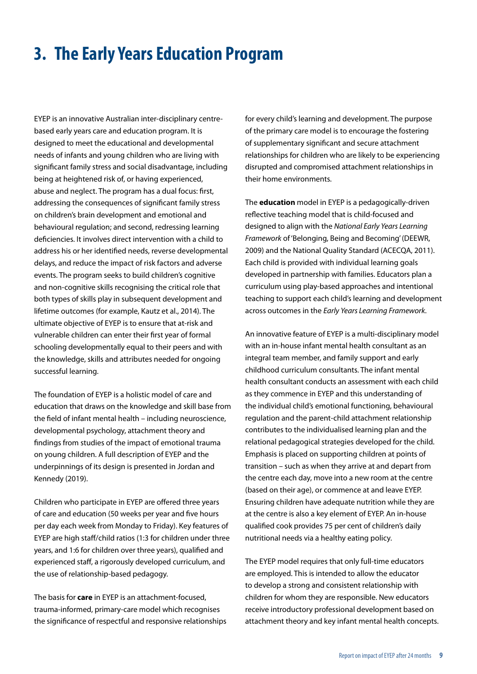# <span id="page-10-0"></span>**3. The Early Years Education Program**

EYEP is an innovative Australian inter-disciplinary centrebased early years care and education program. It is designed to meet the educational and developmental needs of infants and young children who are living with significant family stress and social disadvantage, including being at heightened risk of, or having experienced, abuse and neglect. The program has a dual focus: first, addressing the consequences of significant family stress on children's brain development and emotional and behavioural regulation; and second, redressing learning deficiencies. It involves direct intervention with a child to address his or her identified needs, reverse developmental delays, and reduce the impact of risk factors and adverse events. The program seeks to build children's cognitive and non-cognitive skills recognising the critical role that both types of skills play in subsequent development and lifetime outcomes (for example, Kautz et al., 2014). The ultimate objective of EYEP is to ensure that at-risk and vulnerable children can enter their first year of formal schooling developmentally equal to their peers and with the knowledge, skills and attributes needed for ongoing successful learning.

The foundation of EYEP is a holistic model of care and education that draws on the knowledge and skill base from the field of infant mental health – including neuroscience, developmental psychology, attachment theory and findings from studies of the impact of emotional trauma on young children. A full description of EYEP and the underpinnings of its design is presented in Jordan and Kennedy (2019).

Children who participate in EYEP are offered three years of care and education (50 weeks per year and five hours per day each week from Monday to Friday). Key features of EYEP are high staff/child ratios (1:3 for children under three years, and 1:6 for children over three years), qualified and experienced staff, a rigorously developed curriculum, and the use of relationship-based pedagogy.

The basis for **care** in EYEP is an attachment-focused, trauma-informed, primary-care model which recognises the significance of respectful and responsive relationships for every child's learning and development. The purpose of the primary care model is to encourage the fostering of supplementary significant and secure attachment relationships for children who are likely to be experiencing disrupted and compromised attachment relationships in their home environments.

The **education** model in EYEP is a pedagogically-driven reflective teaching model that is child-focused and designed to align with the *National Early Years Learning Framework* of 'Belonging, Being and Becoming' (DEEWR, 2009) and the National Quality Standard (ACECQA, 2011). Each child is provided with individual learning goals developed in partnership with families. Educators plan a curriculum using play-based approaches and intentional teaching to support each child's learning and development across outcomes in the *Early Years Learning Framework*.

An innovative feature of EYEP is a multi-disciplinary model with an in-house infant mental health consultant as an integral team member, and family support and early childhood curriculum consultants. The infant mental health consultant conducts an assessment with each child as they commence in EYEP and this understanding of the individual child's emotional functioning, behavioural regulation and the parent-child attachment relationship contributes to the individualised learning plan and the relational pedagogical strategies developed for the child. Emphasis is placed on supporting children at points of transition – such as when they arrive at and depart from the centre each day, move into a new room at the centre (based on their age), or commence at and leave EYEP. Ensuring children have adequate nutrition while they are at the centre is also a key element of EYEP. An in-house qualified cook provides 75 per cent of children's daily nutritional needs via a healthy eating policy.

The EYEP model requires that only full-time educators are employed. This is intended to allow the educator to develop a strong and consistent relationship with children for whom they are responsible. New educators receive introductory professional development based on attachment theory and key infant mental health concepts.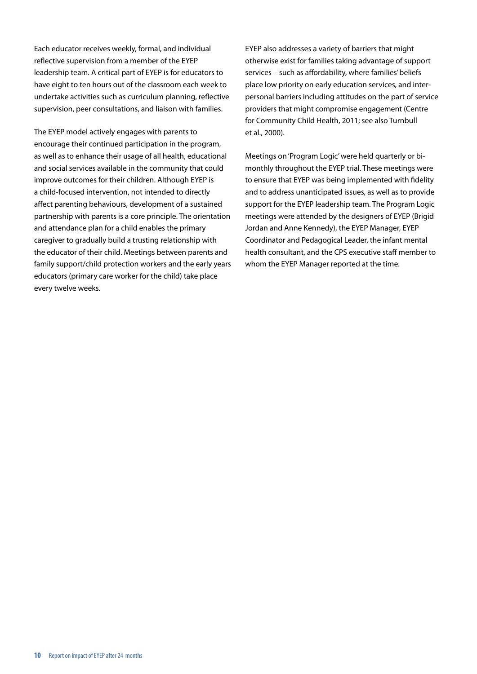Each educator receives weekly, formal, and individual reflective supervision from a member of the EYEP leadership team. A critical part of EYEP is for educators to have eight to ten hours out of the classroom each week to undertake activities such as curriculum planning, reflective supervision, peer consultations, and liaison with families.

The EYEP model actively engages with parents to encourage their continued participation in the program, as well as to enhance their usage of all health, educational and social services available in the community that could improve outcomes for their children. Although EYEP is a child-focused intervention, not intended to directly affect parenting behaviours, development of a sustained partnership with parents is a core principle. The orientation and attendance plan for a child enables the primary caregiver to gradually build a trusting relationship with the educator of their child. Meetings between parents and family support/child protection workers and the early years educators (primary care worker for the child) take place every twelve weeks.

EYEP also addresses a variety of barriers that might otherwise exist for families taking advantage of support services – such as affordability, where families' beliefs place low priority on early education services, and interpersonal barriers including attitudes on the part of service providers that might compromise engagement (Centre for Community Child Health, 2011; see also Turnbull et al., 2000).

Meetings on 'Program Logic' were held quarterly or bimonthly throughout the EYEP trial. These meetings were to ensure that EYEP was being implemented with fidelity and to address unanticipated issues, as well as to provide support for the EYEP leadership team. The Program Logic meetings were attended by the designers of EYEP (Brigid Jordan and Anne Kennedy), the EYEP Manager, EYEP Coordinator and Pedagogical Leader, the infant mental health consultant, and the CPS executive staff member to whom the EYEP Manager reported at the time.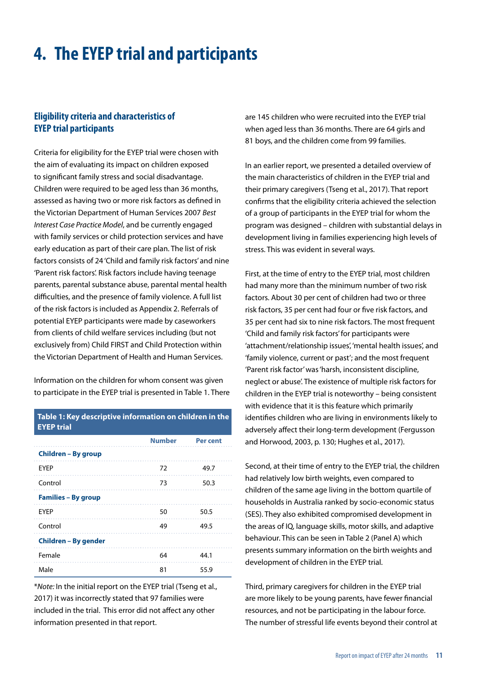# <span id="page-12-0"></span>**4. The EYEP trial and participants**

### **Eligibility criteria and characteristics of EYEP trial participants**

Criteria for eligibility for the EYEP trial were chosen with the aim of evaluating its impact on children exposed to significant family stress and social disadvantage. Children were required to be aged less than 36 months, assessed as having two or more risk factors as defined in the Victorian Department of Human Services 2007 *Best Interest Case Practice Model*, and be currently engaged with family services or child protection services and have early education as part of their care plan. The list of risk factors consists of 24 'Child and family risk factors' and nine 'Parent risk factors'. Risk factors include having teenage parents, parental substance abuse, parental mental health difficulties, and the presence of family violence. A full list of the risk factors is included as Appendix 2. Referrals of potential EYEP participants were made by caseworkers from clients of child welfare services including (but not exclusively from) Child FIRST and Child Protection within the Victorian Department of Health and Human Services.

Information on the children for whom consent was given to participate in the EYEP trial is presented in Table 1. There

#### **Table 1: Key descriptive information on children in the EYEP trial**

|                            | <b>Number</b> | <b>Per cent</b> |
|----------------------------|---------------|-----------------|
| Children - By group        |               |                 |
| <b>EYEP</b>                | 72            | 49.7            |
| Control                    | 73            | 50.3            |
| <b>Families - By group</b> |               |                 |
| <b>EYEP</b>                | 50            | 50.5            |
| Control                    | 49            | 49.5            |
| Children – By gender       |               |                 |
| Female                     | 64            | 44.1            |
| Male                       | 81            | 55.9            |

\**Note:* In the initial report on the EYEP trial (Tseng et al., 2017) it was incorrectly stated that 97 families were included in the trial. This error did not affect any other information presented in that report.

are 145 children who were recruited into the EYEP trial when aged less than 36 months. There are 64 girls and 81 boys, and the children come from 99 families.

In an earlier report, we presented a detailed overview of the main characteristics of children in the EYEP trial and their primary caregivers (Tseng et al., 2017). That report confirms that the eligibility criteria achieved the selection of a group of participants in the EYEP trial for whom the program was designed – children with substantial delays in development living in families experiencing high levels of stress. This was evident in several ways.

First, at the time of entry to the EYEP trial, most children had many more than the minimum number of two risk factors. About 30 per cent of children had two or three risk factors, 35 per cent had four or five risk factors, and 35 per cent had six to nine risk factors. The most frequent 'Child and family risk factors' for participants were 'attachment/relationship issues', 'mental health issues', and 'family violence, current or past'; and the most frequent 'Parent risk factor' was 'harsh, inconsistent discipline, neglect or abuse'. The existence of multiple risk factors for children in the EYEP trial is noteworthy – being consistent with evidence that it is this feature which primarily identifies children who are living in environments likely to adversely affect their long-term development (Fergusson and Horwood, 2003, p. 130; Hughes et al., 2017).

Second, at their time of entry to the EYEP trial, the children had relatively low birth weights, even compared to children of the same age living in the bottom quartile of households in Australia ranked by socio-economic status (SES). They also exhibited compromised development in the areas of IQ, language skills, motor skills, and adaptive behaviour. This can be seen in Table 2 (Panel A) which presents summary information on the birth weights and development of children in the EYEP trial.

Third, primary caregivers for children in the EYEP trial are more likely to be young parents, have fewer financial resources, and not be participating in the labour force. The number of stressful life events beyond their control at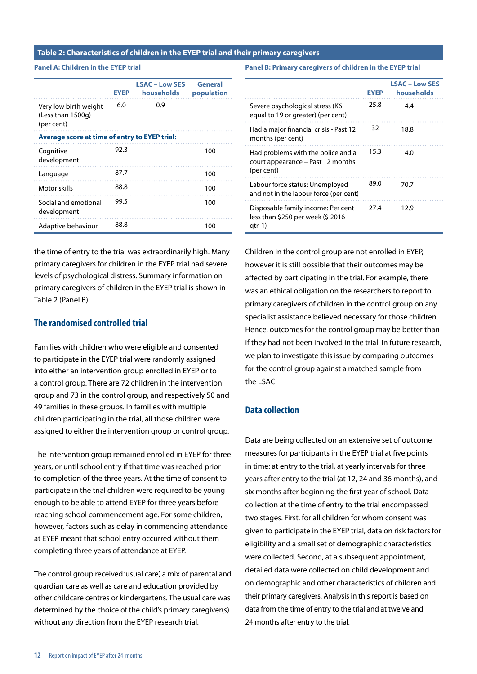#### **Table 2: Characteristics of children in the EYEP trial and their primary caregivers**

**Panel A: Children in the EYEP trial**

|                                                          | <b>EYEP</b> | <b>LSAC - Low SES</b><br>households | General<br>population |
|----------------------------------------------------------|-------------|-------------------------------------|-----------------------|
| Very low birth weight<br>(Less than 1500g)<br>(per cent) | 6.0         | 0.9                                 |                       |
| Average score at time of entry to EYEP trial:            |             |                                     |                       |
| Cognitive<br>development                                 | 92.3        |                                     | 100                   |
| Language                                                 | 87.7        |                                     | 100                   |
| Motor skills                                             | 88.8        |                                     | 100                   |
| Social and emotional<br>development                      | 99.5        |                                     | 100                   |
| Adaptive behaviour                                       | 88.8        |                                     | 100                   |

the time of entry to the trial was extraordinarily high. Many primary caregivers for children in the EYEP trial had severe levels of psychological distress. Summary information on primary caregivers of children in the EYEP trial is shown in Table 2 (Panel B).

#### **The randomised controlled trial**

Families with children who were eligible and consented to participate in the EYEP trial were randomly assigned into either an intervention group enrolled in EYEP or to a control group. There are 72 children in the intervention group and 73 in the control group, and respectively 50 and 49 families in these groups. In families with multiple children participating in the trial, all those children were assigned to either the intervention group or control group.

The intervention group remained enrolled in EYEP for three years, or until school entry if that time was reached prior to completion of the three years. At the time of consent to participate in the trial children were required to be young enough to be able to attend EYEP for three years before reaching school commencement age. For some children, however, factors such as delay in commencing attendance at EYEP meant that school entry occurred without them completing three years of attendance at EYEP.

The control group received 'usual care', a mix of parental and guardian care as well as care and education provided by other childcare centres or kindergartens. The usual care was determined by the choice of the child's primary caregiver(s) without any direction from the EYEP research trial.

**Panel B: Primary caregivers of children in the EYEP trial** 

|                                                                                       | <b>EYEP</b> | <b>LSAC - Low SES</b><br>households |
|---------------------------------------------------------------------------------------|-------------|-------------------------------------|
| Severe psychological stress (K6<br>equal to 19 or greater) (per cent)                 | 25.8        | 4.4                                 |
| Had a major financial crisis - Past 12<br>months (per cent)                           | 32          | 18.8                                |
| Had problems with the police and a<br>court appearance – Past 12 months<br>(per cent) | 15.3        | 4.0                                 |
| Labour force status: Unemployed<br>and not in the labour force (per cent)             | 89.0        | 70.7                                |
| Disposable family income: Per cent<br>less than \$250 per week (\$2016<br>qtr. 1)     | 27.4        | 12.9                                |

Children in the control group are not enrolled in EYEP, however it is still possible that their outcomes may be affected by participating in the trial. For example, there was an ethical obligation on the researchers to report to primary caregivers of children in the control group on any specialist assistance believed necessary for those children. Hence, outcomes for the control group may be better than if they had not been involved in the trial. In future research, we plan to investigate this issue by comparing outcomes for the control group against a matched sample from the LSAC.

### **Data collection**

Data are being collected on an extensive set of outcome measures for participants in the EYEP trial at five points in time: at entry to the trial, at yearly intervals for three years after entry to the trial (at 12, 24 and 36 months), and six months after beginning the first year of school. Data collection at the time of entry to the trial encompassed two stages. First, for all children for whom consent was given to participate in the EYEP trial, data on risk factors for eligibility and a small set of demographic characteristics were collected. Second, at a subsequent appointment, detailed data were collected on child development and on demographic and other characteristics of children and their primary caregivers. Analysis in this report is based on data from the time of entry to the trial and at twelve and 24 months after entry to the trial.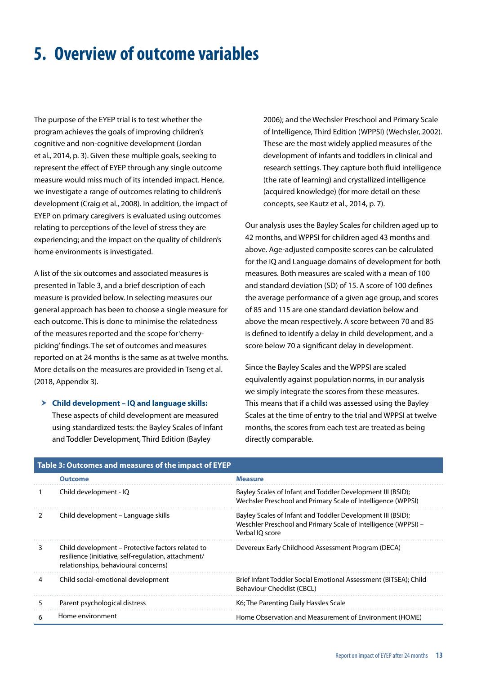# <span id="page-14-0"></span>**5. Overview of outcome variables**

The purpose of the EYEP trial is to test whether the program achieves the goals of improving children's cognitive and non-cognitive development (Jordan et al., 2014, p. 3). Given these multiple goals, seeking to represent the effect of EYEP through any single outcome measure would miss much of its intended impact. Hence, we investigate a range of outcomes relating to children's development (Craig et al., 2008). In addition, the impact of EYEP on primary caregivers is evaluated using outcomes relating to perceptions of the level of stress they are experiencing; and the impact on the quality of children's home environments is investigated.

A list of the six outcomes and associated measures is presented in Table 3, and a brief description of each measure is provided below. In selecting measures our general approach has been to choose a single measure for each outcome. This is done to minimise the relatedness of the measures reported and the scope for 'cherrypicking' findings. The set of outcomes and measures reported on at 24 months is the same as at twelve months. More details on the measures are provided in Tseng et al. (2018, Appendix 3).

#### h **Child development – IQ and language skills:**

These aspects of child development are measured using standardized tests: the Bayley Scales of Infant and Toddler Development, Third Edition (Bayley

2006); and the Wechsler Preschool and Primary Scale of Intelligence, Third Edition (WPPSI) (Wechsler, 2002). These are the most widely applied measures of the development of infants and toddlers in clinical and research settings. They capture both fluid intelligence (the rate of learning) and crystallized intelligence (acquired knowledge) (for more detail on these concepts, see Kautz et al., 2014, p. 7).

Our analysis uses the Bayley Scales for children aged up to 42 months, and WPPSI for children aged 43 months and above. Age-adjusted composite scores can be calculated for the IQ and Language domains of development for both measures. Both measures are scaled with a mean of 100 and standard deviation (SD) of 15. A score of 100 defines the average performance of a given age group, and scores of 85 and 115 are one standard deviation below and above the mean respectively. A score between 70 and 85 is defined to identify a delay in child development, and a score below 70 a significant delay in development.

Since the Bayley Scales and the WPPSI are scaled equivalently against population norms, in our analysis we simply integrate the scores from these measures. This means that if a child was assessed using the Bayley Scales at the time of entry to the trial and WPPSI at twelve months, the scores from each test are treated as being directly comparable.

|   | Table 3: Outcomes and measures of the impact of EYEP                                                                                              |                                                                                                                                                  |
|---|---------------------------------------------------------------------------------------------------------------------------------------------------|--------------------------------------------------------------------------------------------------------------------------------------------------|
|   | <b>Outcome</b>                                                                                                                                    | <b>Measure</b>                                                                                                                                   |
|   | Child development - IQ                                                                                                                            | Bayley Scales of Infant and Toddler Development III (BSID);<br>Wechsler Preschool and Primary Scale of Intelligence (WPPSI)                      |
| 2 | Child development – Language skills                                                                                                               | Bayley Scales of Infant and Toddler Development III (BSID);<br>Weschler Preschool and Primary Scale of Intelligence (WPPSI) -<br>Verbal IO score |
| 3 | Child development – Protective factors related to<br>resilience (initiative, self-regulation, attachment/<br>relationships, behavioural concerns) | Devereux Early Childhood Assessment Program (DECA)                                                                                               |
| 4 | Child social-emotional development                                                                                                                | Brief Infant Toddler Social Emotional Assessment (BITSEA); Child<br>Behaviour Checklist (CBCL)                                                   |
| 5 | Parent psychological distress                                                                                                                     | K6; The Parenting Daily Hassles Scale                                                                                                            |
| 6 | Home environment                                                                                                                                  | Home Observation and Measurement of Environment (HOME)                                                                                           |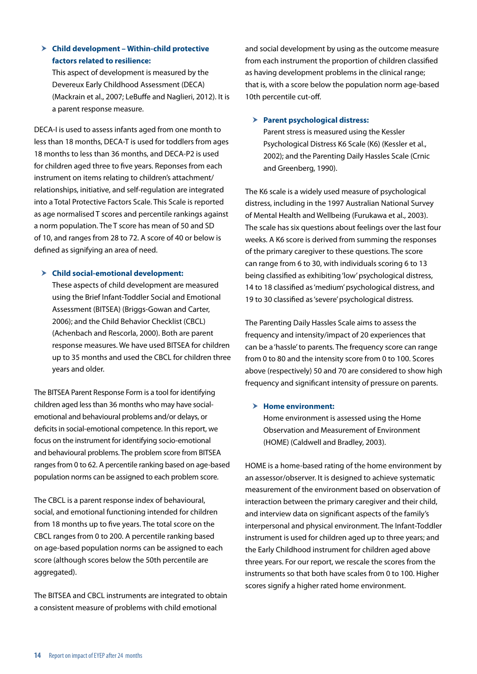### h **Child development – Within-child protective factors related to resilience:**

This aspect of development is measured by the Devereux Early Childhood Assessment (DECA) (Mackrain et al., 2007; LeBuffe and Naglieri, 2012). It is a parent response measure.

DECA-I is used to assess infants aged from one month to less than 18 months, DECA-T is used for toddlers from ages 18 months to less than 36 months, and DECA-P2 is used for children aged three to five years. Reponses from each instrument on items relating to children's attachment/ relationships, initiative, and self-regulation are integrated into a Total Protective Factors Scale. This Scale is reported as age normalised T scores and percentile rankings against a norm population. The T score has mean of 50 and SD of 10, and ranges from 28 to 72. A score of 40 or below is defined as signifying an area of need.

#### h **Child social-emotional development:**

These aspects of child development are measured using the Brief Infant-Toddler Social and Emotional Assessment (BITSEA) (Briggs-Gowan and Carter, 2006); and the Child Behavior Checklist (CBCL) (Achenbach and Rescorla, 2000). Both are parent response measures. We have used BITSEA for children up to 35 months and used the CBCL for children three years and older.

The BITSEA Parent Response Form is a tool for identifying children aged less than 36 months who may have socialemotional and behavioural problems and/or delays, or deficits in social-emotional competence. In this report, we focus on the instrument for identifying socio-emotional and behavioural problems. The problem score from BITSEA ranges from 0 to 62. A percentile ranking based on age-based population norms can be assigned to each problem score.

The CBCL is a parent response index of behavioural, social, and emotional functioning intended for children from 18 months up to five years. The total score on the CBCL ranges from 0 to 200. A percentile ranking based on age-based population norms can be assigned to each score (although scores below the 50th percentile are aggregated).

The BITSEA and CBCL instruments are integrated to obtain a consistent measure of problems with child emotional

and social development by using as the outcome measure from each instrument the proportion of children classified as having development problems in the clinical range; that is, with a score below the population norm age-based 10th percentile cut-off.

#### $\triangleright$  Parent psychological distress:

Parent stress is measured using the Kessler Psychological Distress K6 Scale (K6) (Kessler et al., 2002); and the Parenting Daily Hassles Scale (Crnic and Greenberg, 1990).

The K6 scale is a widely used measure of psychological distress, including in the 1997 Australian National Survey of Mental Health and Wellbeing (Furukawa et al., 2003). The scale has six questions about feelings over the last four weeks. A K6 score is derived from summing the responses of the primary caregiver to these questions. The score can range from 6 to 30, with individuals scoring 6 to 13 being classified as exhibiting 'low' psychological distress, 14 to 18 classified as 'medium' psychological distress, and 19 to 30 classified as 'severe' psychological distress.

The Parenting Daily Hassles Scale aims to assess the frequency and intensity/impact of 20 experiences that can be a 'hassle' to parents. The frequency score can range from 0 to 80 and the intensity score from 0 to 100. Scores above (respectively) 50 and 70 are considered to show high frequency and significant intensity of pressure on parents.

#### > Home environment:

Home environment is assessed using the Home Observation and Measurement of Environment (HOME) (Caldwell and Bradley, 2003).

HOME is a home-based rating of the home environment by an assessor/observer. It is designed to achieve systematic measurement of the environment based on observation of interaction between the primary caregiver and their child, and interview data on significant aspects of the family's interpersonal and physical environment. The Infant-Toddler instrument is used for children aged up to three years; and the Early Childhood instrument for children aged above three years. For our report, we rescale the scores from the instruments so that both have scales from 0 to 100. Higher scores signify a higher rated home environment.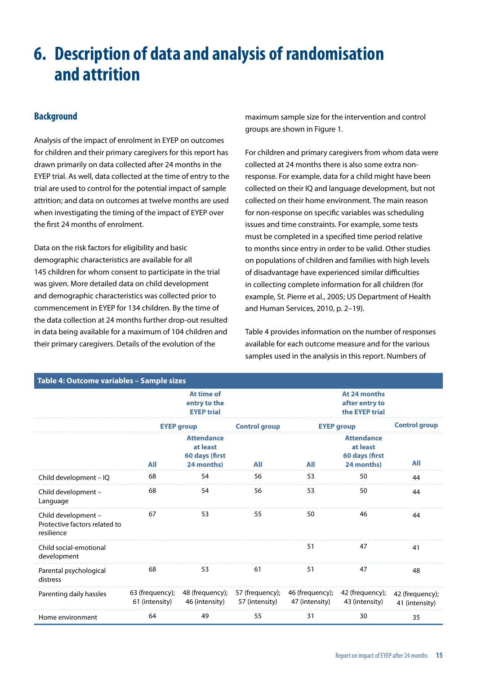# <span id="page-16-0"></span>**6. Description of data and analysis of randomisation and attrition**

### **Background**

Analysis of the impact of enrolment in EYEP on outcomes for children and their primary caregivers for this report has drawn primarily on data collected after 24 months in the EYEP trial. As well, data collected at the time of entry to the trial are used to control for the potential impact of sample attrition; and data on outcomes at twelve months are used when investigating the timing of the impact of EYEP over the first 24 months of enrolment.

Data on the risk factors for eligibility and basic demographic characteristics are available for all 145 children for whom consent to participate in the trial was given. More detailed data on child development and demographic characteristics was collected prior to commencement in EYEP for 134 children. By the time of the data collection at 24 months further drop-out resulted in data being available for a maximum of 104 children and their primary caregivers. Details of the evolution of the

maximum sample size for the intervention and control groups are shown in Figure 1.

For children and primary caregivers from whom data were collected at 24 months there is also some extra nonresponse. For example, data for a child might have been collected on their IQ and language development, but not collected on their home environment. The main reason for non-response on specific variables was scheduling issues and time constraints. For example, some tests must be completed in a specified time period relative to months since entry in order to be valid. Other studies on populations of children and families with high levels of disadvantage have experienced similar difficulties in collecting complete information for all children (for example, St. Pierre et al., 2005; US Department of Health and Human Services, 2010, p. 2–19).

Table 4 provides information on the number of responses available for each outcome measure and for the various samples used in the analysis in this report. Numbers of

| Table 4: Outcome variables - Sample sizes                          |                                                 |                                                               |                                   |                                   |                                                               |                                   |
|--------------------------------------------------------------------|-------------------------------------------------|---------------------------------------------------------------|-----------------------------------|-----------------------------------|---------------------------------------------------------------|-----------------------------------|
|                                                                    | At time of<br>entry to the<br><b>EYEP trial</b> |                                                               |                                   |                                   |                                                               |                                   |
|                                                                    |                                                 | <b>EYEP group</b>                                             | <b>Control group</b>              | <b>EYEP group</b>                 | <b>Control group</b>                                          |                                   |
|                                                                    | <b>All</b>                                      | <b>Attendance</b><br>at least<br>60 days (first<br>24 months) | All                               | All                               | <b>Attendance</b><br>at least<br>60 days (first<br>24 months) | All                               |
| Child development - IQ                                             | 68                                              | 54                                                            | 56                                | 53                                | 50                                                            | 44                                |
| Child development -<br>Language                                    | 68                                              | 54                                                            | 56                                | 53                                | 50                                                            | 44                                |
| Child development -<br>Protective factors related to<br>resilience | 67                                              | 53                                                            | 55                                | 50                                | 46                                                            | 44                                |
| Child social-emotional<br>development                              |                                                 |                                                               |                                   | 51                                | 47                                                            | 41                                |
| Parental psychological<br>distress                                 | 68                                              | 53                                                            | 61                                | 51                                | 47                                                            | 48                                |
| Parenting daily hassles                                            | 63 (frequency);<br>61 (intensity)               | 48 (frequency);<br>46 (intensity)                             | 57 (frequency);<br>57 (intensity) | 46 (frequency);<br>47 (intensity) | 42 (frequency);<br>43 (intensity)                             | 42 (frequency);<br>41 (intensity) |
| Home environment                                                   | 64                                              | 49                                                            | 55                                | 31                                | 30                                                            | 35                                |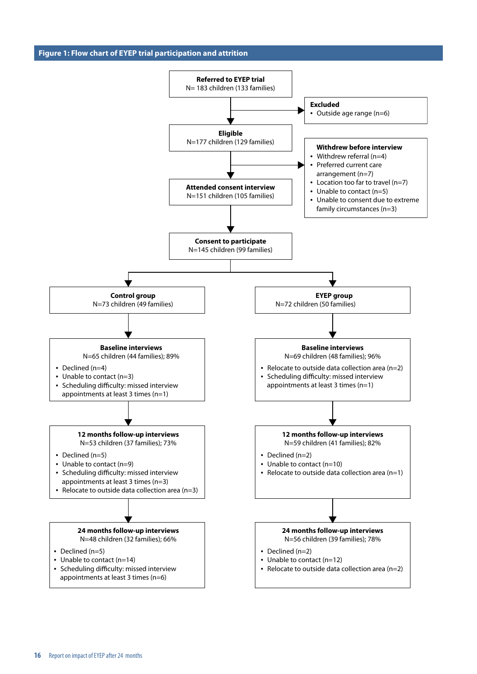**Figure 1: Flow chart of EYEP trial participation and attrition**

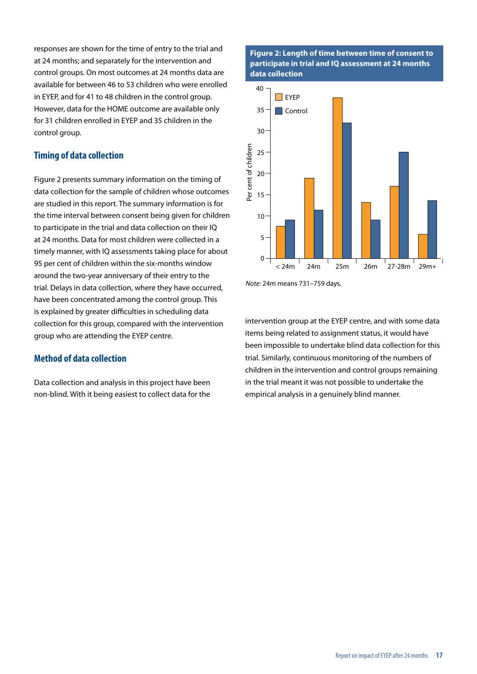responses are shown for the time of entry to the trial and at 24 months; and separately for the intervention and control groups. On most outcomes at 24 months data are available for between 46 to 53 children who were enrolled in EYEP, and for 41 to 48 children in the control group. However, data for the HOME outcome are available only for 31 children enrolled in EYEP and 35 children in the control group.

#### **Timing of data collection**

Figure 2 presents summary information on the timing of data collection for the sample of children whose outcomes are studied in this report. The summary information is for the time interval between consent being given for children to participate in the trial and data collection on their IQ at 24 months. Data for most children were collected in a timely manner, with IQ assessments taking place for about 95 per cent of children within the six-months window around the two-year anniversary of their entry to the trial. Delays in data collection, where they have occurred, have been concentrated among the control group. This is explained by greater difficulties in scheduling data collection for this group, compared with the intervention group who are attending the EYEP centre.

#### **Method of data collection**

Data collection and analysis in this project have been non-blind. With it being easiest to collect data for the

#### **Figure 2: Length of time between time of consent to participate in trial and IQ assessment at 24 months data collection**



*Note:* 24m means 731–759 days.

intervention group at the EYEP centre, and with some data items being related to assignment status, it would have been impossible to undertake blind data collection for this trial. Similarly, continuous monitoring of the numbers of children in the intervention and control groups remaining in the trial meant it was not possible to undertake the empirical analysis in a genuinely blind manner.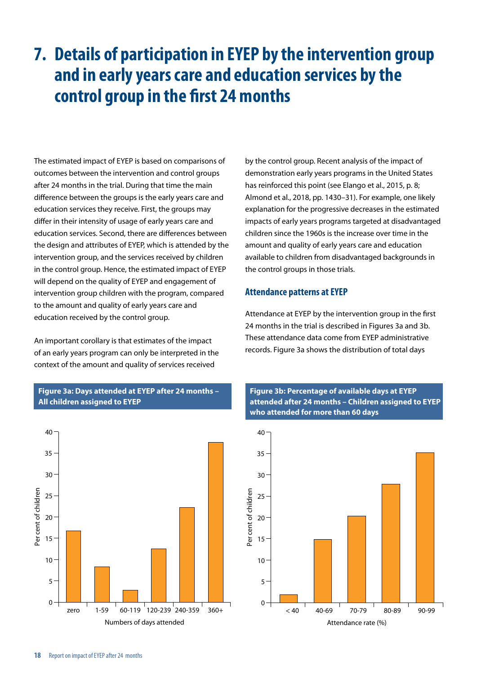## <span id="page-19-0"></span>**7. Details of participation in EYEP by the intervention group and in early years care and education services by the control group in the first 24 months**

The estimated impact of EYEP is based on comparisons of outcomes between the intervention and control groups after 24 months in the trial. During that time the main difference between the groups is the early years care and education services they receive. First, the groups may differ in their intensity of usage of early years care and education services. Second, there are differences between the design and attributes of EYEP, which is attended by the intervention group, and the services received by children in the control group. Hence, the estimated impact of EYEP will depend on the quality of EYEP and engagement of intervention group children with the program, compared to the amount and quality of early years care and education received by the control group.

An important corollary is that estimates of the impact of an early years program can only be interpreted in the context of the amount and quality of services received

**Figure 3a: Days attended at EYEP after 24 months – All children assigned to EYEP**



by the control group. Recent analysis of the impact of demonstration early years programs in the United States has reinforced this point (see Elango et al., 2015, p. 8; Almond et al., 2018, pp. 1430–31). For example, one likely explanation for the progressive decreases in the estimated impacts of early years programs targeted at disadvantaged children since the 1960s is the increase over time in the amount and quality of early years care and education available to children from disadvantaged backgrounds in the control groups in those trials.

#### **Attendance patterns at EYEP**

Attendance at EYEP by the intervention group in the first 24 months in the trial is described in Figures 3a and 3b. These attendance data come from EYEP administrative records. Figure 3a shows the distribution of total days



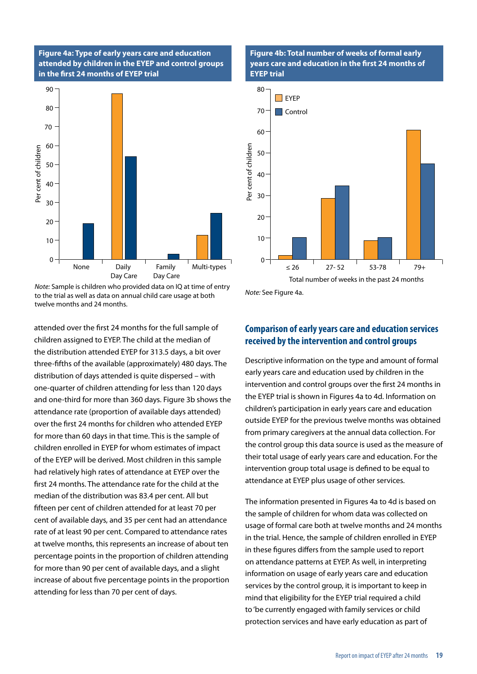#### **Figure 4a: Type of early years care and education attended by children in the EYEP and control groups in the first 24 months of EYEP trial**



*Note:* Sample is children who provided data on IQ at time of entry to the trial as well as data on annual child care usage at both twelve months and 24 months.

attended over the first 24 months for the full sample of children assigned to EYEP. The child at the median of the distribution attended EYEP for 313.5 days, a bit over three-fifths of the available (approximately) 480 days. The distribution of days attended is quite dispersed – with one-quarter of children attending for less than 120 days and one-third for more than 360 days. Figure 3b shows the attendance rate (proportion of available days attended) over the first 24 months for children who attended EYEP for more than 60 days in that time. This is the sample of children enrolled in EYEP for whom estimates of impact of the EYEP will be derived. Most children in this sample had relatively high rates of attendance at EYEP over the first 24 months. The attendance rate for the child at the median of the distribution was 83.4 per cent. All but fifteen per cent of children attended for at least 70 per cent of available days, and 35 per cent had an attendance rate of at least 90 per cent. Compared to attendance rates at twelve months, this represents an increase of about ten percentage points in the proportion of children attending for more than 90 per cent of available days, and a slight increase of about five percentage points in the proportion attending for less than 70 per cent of days.

#### **Figure 4b: Total number of weeks of formal early years care and education in the first 24 months of EYEP trial**



*Note:* See Figure 4a.

### **Comparison of early years care and education services received by the intervention and control groups**

Descriptive information on the type and amount of formal early years care and education used by children in the intervention and control groups over the first 24 months in the EYEP trial is shown in Figures 4a to 4d. Information on children's participation in early years care and education outside EYEP for the previous twelve months was obtained from primary caregivers at the annual data collection. For the control group this data source is used as the measure of their total usage of early years care and education. For the intervention group total usage is defined to be equal to attendance at EYEP plus usage of other services.

The information presented in Figures 4a to 4d is based on the sample of children for whom data was collected on usage of formal care both at twelve months and 24 months in the trial. Hence, the sample of children enrolled in EYEP in these figures differs from the sample used to report on attendance patterns at EYEP. As well, in interpreting information on usage of early years care and education services by the control group, it is important to keep in mind that eligibility for the EYEP trial required a child to 'be currently engaged with family services or child protection services and have early education as part of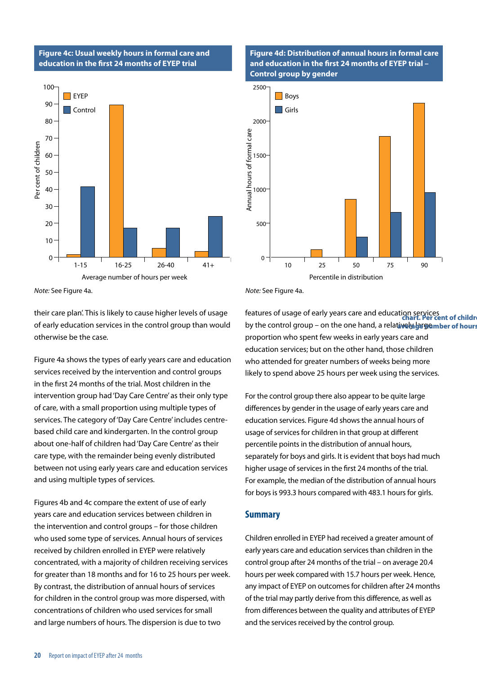#### **Figure 4c: Usual weekly hours in formal care and education in the first 24 months of EYEP trial**



**Figure 4d: Distribution of annual hours in formal care and education in the first 24 months of EYEP trial – Control group by gender**



*Note:* See Figure 4a.

their care plan'. This is likely to cause higher levels of usage of early education services in the control group than would otherwise be the case.

Figure 4a shows the types of early years care and education services received by the intervention and control groups in the first 24 months of the trial. Most children in the intervention group had 'Day Care Centre' as their only type of care, with a small proportion using multiple types of services. The category of 'Day Care Centre' includes centrebased child care and kindergarten. In the control group about one-half of children had 'Day Care Centre' as their care type, with the remainder being evenly distributed between not using early years care and education services and using multiple types of services.

Figures 4b and 4c compare the extent of use of early years care and education services between children in the intervention and control groups – for those children who used some type of services. Annual hours of services received by children enrolled in EYEP were relatively concentrated, with a majority of children receiving services for greater than 18 months and for 16 to 25 hours per week. By contrast, the distribution of annual hours of services for children in the control group was more dispersed, with concentrations of children who used services for small and large numbers of hours. The dispersion is due to two

*Note:* See Figure 4a.

features of usage of early years care and education services **chart. Per cent of children versus**  by the control group – on the one hand, a relatively be gember of hours proportion who spent few weeks in early years care and education services; but on the other hand, those children who attended for greater numbers of weeks being more likely to spend above 25 hours per week using the services.

For the control group there also appear to be quite large differences by gender in the usage of early years care and education services. Figure 4d shows the annual hours of usage of services for children in that group at different percentile points in the distribution of annual hours, separately for boys and girls. It is evident that boys had much higher usage of services in the first 24 months of the trial. For example, the median of the distribution of annual hours for boys is 993.3 hours compared with 483.1 hours for girls.

#### **Summary**

Children enrolled in EYEP had received a greater amount of early years care and education services than children in the control group after 24 months of the trial – on average 20.4 hours per week compared with 15.7 hours per week. Hence, any impact of EYEP on outcomes for children after 24 months of the trial may partly derive from this difference, as well as from differences between the quality and attributes of EYEP and the services received by the control group.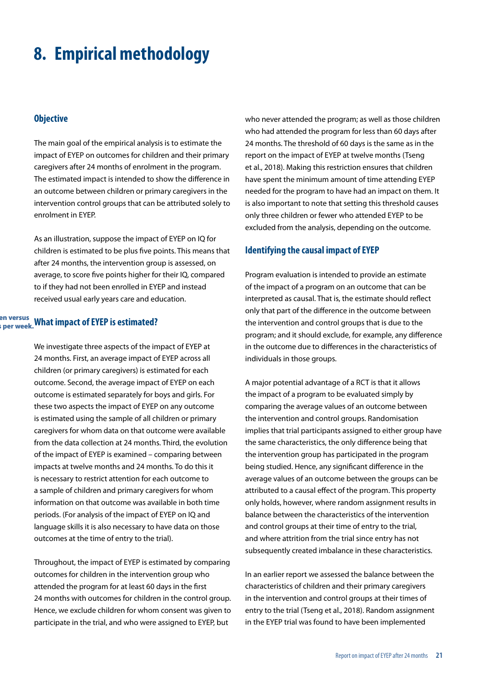### <span id="page-22-0"></span>**8. Empirical methodology**

#### **Objective**

The main goal of the empirical analysis is to estimate the impact of EYEP on outcomes for children and their primary caregivers after 24 months of enrolment in the program. The estimated impact is intended to show the difference in an outcome between children or primary caregivers in the intervention control groups that can be attributed solely to enrolment in EYEP.

As an illustration, suppose the impact of EYEP on IQ for children is estimated to be plus five points. This means that after 24 months, the intervention group is assessed, on average, to score five points higher for their IQ, compared to if they had not been enrolled in EYEP and instead received usual early years care and education.

#### **en versus**<br>a per week What impact of EYEP is estimated? **per week.**

We investigate three aspects of the impact of EYEP at 24 months. First, an average impact of EYEP across all children (or primary caregivers) is estimated for each outcome. Second, the average impact of EYEP on each outcome is estimated separately for boys and girls. For these two aspects the impact of EYEP on any outcome is estimated using the sample of all children or primary caregivers for whom data on that outcome were available from the data collection at 24 months. Third, the evolution of the impact of EYEP is examined – comparing between impacts at twelve months and 24 months. To do this it is necessary to restrict attention for each outcome to a sample of children and primary caregivers for whom information on that outcome was available in both time periods. (For analysis of the impact of EYEP on IQ and language skills it is also necessary to have data on those outcomes at the time of entry to the trial).

Throughout, the impact of EYEP is estimated by comparing outcomes for children in the intervention group who attended the program for at least 60 days in the first 24 months with outcomes for children in the control group. Hence, we exclude children for whom consent was given to participate in the trial, and who were assigned to EYEP, but

who never attended the program; as well as those children who had attended the program for less than 60 days after 24 months. The threshold of 60 days is the same as in the report on the impact of EYEP at twelve months (Tseng et al., 2018). Making this restriction ensures that children have spent the minimum amount of time attending EYEP needed for the program to have had an impact on them. It is also important to note that setting this threshold causes only three children or fewer who attended EYEP to be excluded from the analysis, depending on the outcome.

#### **Identifying the causal impact of EYEP**

Program evaluation is intended to provide an estimate of the impact of a program on an outcome that can be interpreted as causal. That is, the estimate should reflect only that part of the difference in the outcome between the intervention and control groups that is due to the program; and it should exclude, for example, any difference in the outcome due to differences in the characteristics of individuals in those groups.

A major potential advantage of a RCT is that it allows the impact of a program to be evaluated simply by comparing the average values of an outcome between the intervention and control groups. Randomisation implies that trial participants assigned to either group have the same characteristics, the only difference being that the intervention group has participated in the program being studied. Hence, any significant difference in the average values of an outcome between the groups can be attributed to a causal effect of the program. This property only holds, however, where random assignment results in balance between the characteristics of the intervention and control groups at their time of entry to the trial, and where attrition from the trial since entry has not subsequently created imbalance in these characteristics.

In an earlier report we assessed the balance between the characteristics of children and their primary caregivers in the intervention and control groups at their times of entry to the trial (Tseng et al., 2018). Random assignment in the EYEP trial was found to have been implemented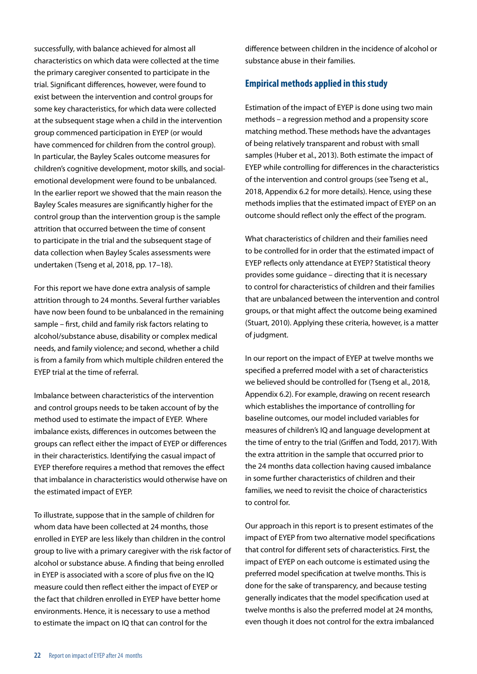successfully, with balance achieved for almost all characteristics on which data were collected at the time the primary caregiver consented to participate in the trial. Significant differences, however, were found to exist between the intervention and control groups for some key characteristics, for which data were collected at the subsequent stage when a child in the intervention group commenced participation in EYEP (or would have commenced for children from the control group). In particular, the Bayley Scales outcome measures for children's cognitive development, motor skills, and socialemotional development were found to be unbalanced. In the earlier report we showed that the main reason the Bayley Scales measures are significantly higher for the control group than the intervention group is the sample attrition that occurred between the time of consent to participate in the trial and the subsequent stage of data collection when Bayley Scales assessments were undertaken (Tseng et al, 2018, pp. 17–18).

For this report we have done extra analysis of sample attrition through to 24 months. Several further variables have now been found to be unbalanced in the remaining sample – first, child and family risk factors relating to alcohol/substance abuse, disability or complex medical needs, and family violence; and second, whether a child is from a family from which multiple children entered the EYEP trial at the time of referral.

Imbalance between characteristics of the intervention and control groups needs to be taken account of by the method used to estimate the impact of EYEP. Where imbalance exists, differences in outcomes between the groups can reflect either the impact of EYEP or differences in their characteristics. Identifying the casual impact of EYEP therefore requires a method that removes the effect that imbalance in characteristics would otherwise have on the estimated impact of EYEP.

To illustrate, suppose that in the sample of children for whom data have been collected at 24 months, those enrolled in EYEP are less likely than children in the control group to live with a primary caregiver with the risk factor of alcohol or substance abuse. A finding that being enrolled in EYEP is associated with a score of plus five on the IQ measure could then reflect either the impact of EYEP or the fact that children enrolled in EYEP have better home environments. Hence, it is necessary to use a method to estimate the impact on IQ that can control for the

difference between children in the incidence of alcohol or substance abuse in their families.

#### **Empirical methods applied in this study**

Estimation of the impact of EYEP is done using two main methods – a regression method and a propensity score matching method. These methods have the advantages of being relatively transparent and robust with small samples (Huber et al., 2013). Both estimate the impact of EYEP while controlling for differences in the characteristics of the intervention and control groups (see Tseng et al., 2018, Appendix 6.2 for more details). Hence, using these methods implies that the estimated impact of EYEP on an outcome should reflect only the effect of the program.

What characteristics of children and their families need to be controlled for in order that the estimated impact of EYEP reflects only attendance at EYEP? Statistical theory provides some guidance – directing that it is necessary to control for characteristics of children and their families that are unbalanced between the intervention and control groups, or that might affect the outcome being examined (Stuart, 2010). Applying these criteria, however, is a matter of judgment.

In our report on the impact of EYEP at twelve months we specified a preferred model with a set of characteristics we believed should be controlled for (Tseng et al., 2018, Appendix 6.2). For example, drawing on recent research which establishes the importance of controlling for baseline outcomes, our model included variables for measures of children's IQ and language development at the time of entry to the trial (Griffen and Todd, 2017). With the extra attrition in the sample that occurred prior to the 24 months data collection having caused imbalance in some further characteristics of children and their families, we need to revisit the choice of characteristics to control for.

Our approach in this report is to present estimates of the impact of EYEP from two alternative model specifications that control for different sets of characteristics. First, the impact of EYEP on each outcome is estimated using the preferred model specification at twelve months. This is done for the sake of transparency, and because testing generally indicates that the model specification used at twelve months is also the preferred model at 24 months, even though it does not control for the extra imbalanced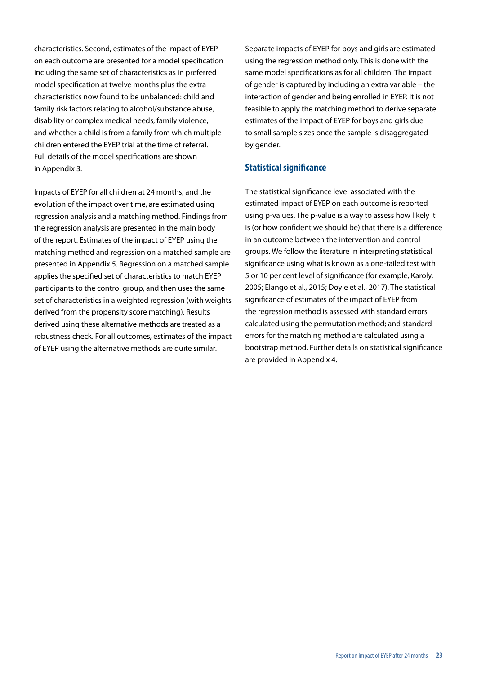characteristics. Second, estimates of the impact of EYEP on each outcome are presented for a model specification including the same set of characteristics as in preferred model specification at twelve months plus the extra characteristics now found to be unbalanced: child and family risk factors relating to alcohol/substance abuse, disability or complex medical needs, family violence, and whether a child is from a family from which multiple children entered the EYEP trial at the time of referral. Full details of the model specifications are shown in Appendix 3.

Impacts of EYEP for all children at 24 months, and the evolution of the impact over time, are estimated using regression analysis and a matching method. Findings from the regression analysis are presented in the main body of the report. Estimates of the impact of EYEP using the matching method and regression on a matched sample are presented in Appendix 5. Regression on a matched sample applies the specified set of characteristics to match EYEP participants to the control group, and then uses the same set of characteristics in a weighted regression (with weights derived from the propensity score matching). Results derived using these alternative methods are treated as a robustness check. For all outcomes, estimates of the impact of EYEP using the alternative methods are quite similar.

Separate impacts of EYEP for boys and girls are estimated using the regression method only. This is done with the same model specifications as for all children. The impact of gender is captured by including an extra variable – the interaction of gender and being enrolled in EYEP. It is not feasible to apply the matching method to derive separate estimates of the impact of EYEP for boys and girls due to small sample sizes once the sample is disaggregated by gender.

### **Statistical significance**

The statistical significance level associated with the estimated impact of EYEP on each outcome is reported using p-values. The p-value is a way to assess how likely it is (or how confident we should be) that there is a difference in an outcome between the intervention and control groups. We follow the literature in interpreting statistical significance using what is known as a one-tailed test with 5 or 10 per cent level of significance (for example, Karoly, 2005; Elango et al., 2015; Doyle et al., 2017). The statistical significance of estimates of the impact of EYEP from the regression method is assessed with standard errors calculated using the permutation method; and standard errors for the matching method are calculated using a bootstrap method. Further details on statistical significance are provided in Appendix 4.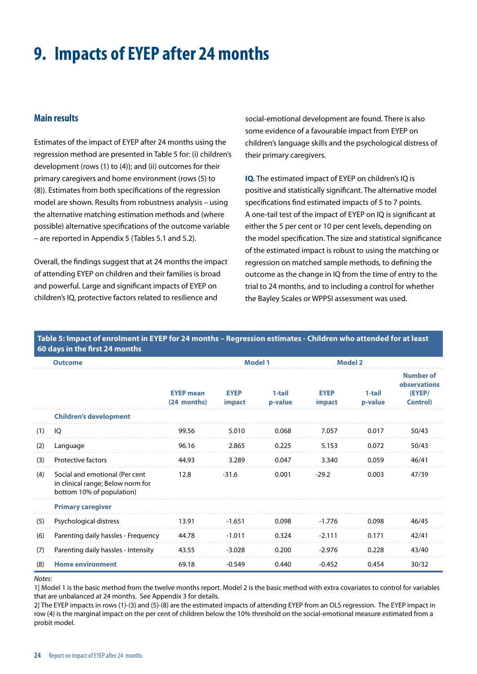### <span id="page-25-0"></span>**9. Impacts of EYEP after 24 months**

### **Main results**

Estimates of the impact of EYEP after 24 months using the regression method are presented in Table 5 for: (i) children's development (rows (1) to (4)); and (ii) outcomes for their primary caregivers and home environment (rows (5) to (8)). Estimates from both specifications of the regression model are shown. Results from robustness analysis – using the alternative matching estimation methods and (where possible) alternative specifications of the outcome variable – are reported in Appendix 5 (Tables 5.1 and 5.2).

Overall, the findings suggest that at 24 months the impact of attending EYEP on children and their families is broad and powerful. Large and significant impacts of EYEP on children's IQ, protective factors related to resilience and

social-emotional development are found. There is also some evidence of a favourable impact from EYEP on children's language skills and the psychological distress of their primary caregivers.

**IQ.** The estimated impact of EYEP on children's IQ is positive and statistically significant. The alternative model specifications find estimated impacts of 5 to 7 points. A one-tail test of the impact of EYEP on IQ is significant at either the 5 per cent or 10 per cent levels, depending on the model specification. The size and statistical significance of the estimated impact is robust to using the matching or regression on matched sample methods, to defining the outcome as the change in IQ from the time of entry to the trial to 24 months, and to including a control for whether the Bayley Scales or WPPSI assessment was used.

#### **Table 5: Impact of enrolment in EYEP for 24 months – Regression estimates - Children who attended for at least 60 days in the first 24 months**

| <b>Outcome</b> |                                                                                                  |                                 |                              | <b>Model 1</b>    |                              | <b>Model 2</b>    |                                                                |
|----------------|--------------------------------------------------------------------------------------------------|---------------------------------|------------------------------|-------------------|------------------------------|-------------------|----------------------------------------------------------------|
|                |                                                                                                  | <b>EYEP</b> mean<br>(24 months) | <b>EYEP</b><br><i>impact</i> | 1-tail<br>p-value | <b>EYEP</b><br><b>impact</b> | 1-tail<br>p-value | <b>Number of</b><br>observations<br>(EYEP/<br><b>Control</b> ) |
|                | <b>Children's development</b>                                                                    |                                 |                              |                   |                              |                   |                                                                |
| (1)            | IQ                                                                                               | 99.56                           | 5.010                        | 0.068             | 7.057                        | 0.017             | 50/43                                                          |
| (2)            | Language                                                                                         | 96.16                           | 2.865                        | 0.225             | 5.153                        | 0.072             | 50/43                                                          |
| (3)            | <b>Protective factors</b>                                                                        | 44.93                           | 3.289                        | 0.047             | 3.340                        | 0.059             | 46/41                                                          |
| (4)            | Social and emotional (Per cent<br>in clinical range; Below norm for<br>bottom 10% of population) | 12.8                            | $-31.6$                      | 0.001             | $-29.2$                      | 0.003             | 47/39                                                          |
|                | <b>Primary caregiver</b>                                                                         |                                 |                              |                   |                              |                   |                                                                |
| (5)            | Psychological distress                                                                           | 13.91                           | $-1.651$                     | 0.098             | $-1.776$                     | 0.098             | 46/45                                                          |
| (6)            | Parenting daily hassles - Frequency                                                              | 44.78                           | $-1.011$                     | 0.324             | $-2.111$                     | 0.171             | 42/41                                                          |
| (7)            | Parenting daily hassles - Intensity                                                              | 43.55                           | $-3.028$                     | 0.200             | $-2.976$                     | 0.228             | 43/40                                                          |
| (8)            | <b>Home environment</b>                                                                          | 69.18                           | $-0.549$                     | 0.440             | $-0.452$                     | 0.454             | 30/32                                                          |

#### *Notes:*

1] Model 1 is the basic method from the twelve months report. Model 2 is the basic method with extra covariates to control for variables that are unbalanced at 24 months. See Appendix 3 for details.

2] The EYEP impacts in rows (1)-(3) and (5)-(8) are the estimated impacts of attending EYEP from an OLS regression. The EYEP impact in row (4) is the marginal impact on the per cent of children below the 10% threshold on the social-emotional measure estimated from a probit model.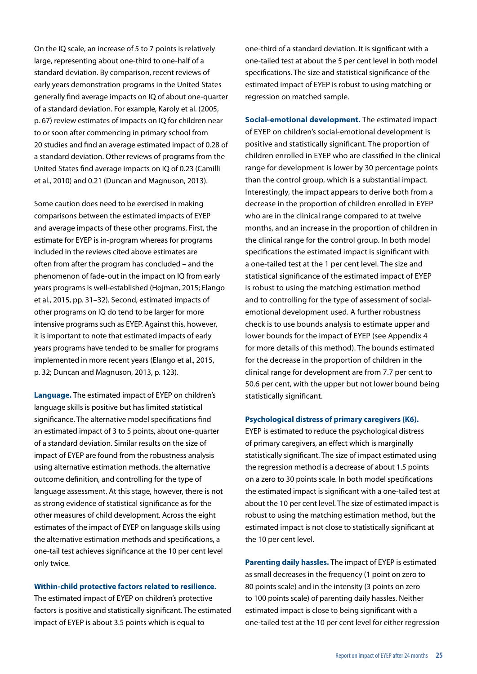On the IQ scale, an increase of 5 to 7 points is relatively large, representing about one-third to one-half of a standard deviation. By comparison, recent reviews of early years demonstration programs in the United States generally find average impacts on IQ of about one-quarter of a standard deviation. For example, Karoly et al. (2005, p. 67) review estimates of impacts on IQ for children near to or soon after commencing in primary school from 20 studies and find an average estimated impact of 0.28 of a standard deviation. Other reviews of programs from the United States find average impacts on IQ of 0.23 (Camilli et al., 2010) and 0.21 (Duncan and Magnuson, 2013).

Some caution does need to be exercised in making comparisons between the estimated impacts of EYEP and average impacts of these other programs. First, the estimate for EYEP is in-program whereas for programs included in the reviews cited above estimates are often from after the program has concluded – and the phenomenon of fade-out in the impact on IQ from early years programs is well-established (Hojman, 2015; Elango et al., 2015, pp. 31–32). Second, estimated impacts of other programs on IQ do tend to be larger for more intensive programs such as EYEP. Against this, however, it is important to note that estimated impacts of early years programs have tended to be smaller for programs implemented in more recent years (Elango et al., 2015, p. 32; Duncan and Magnuson, 2013, p. 123).

**Language.** The estimated impact of EYEP on children's language skills is positive but has limited statistical significance. The alternative model specifications find an estimated impact of 3 to 5 points, about one-quarter of a standard deviation. Similar results on the size of impact of EYEP are found from the robustness analysis using alternative estimation methods, the alternative outcome definition, and controlling for the type of language assessment. At this stage, however, there is not as strong evidence of statistical significance as for the other measures of child development. Across the eight estimates of the impact of EYEP on language skills using the alternative estimation methods and specifications, a one-tail test achieves significance at the 10 per cent level only twice.

**Within-child protective factors related to resilience.** 

The estimated impact of EYEP on children's protective factors is positive and statistically significant. The estimated impact of EYEP is about 3.5 points which is equal to

one-third of a standard deviation. It is significant with a one-tailed test at about the 5 per cent level in both model specifications. The size and statistical significance of the estimated impact of EYEP is robust to using matching or regression on matched sample.

**Social-emotional development.** The estimated impact of EYEP on children's social-emotional development is positive and statistically significant. The proportion of children enrolled in EYEP who are classified in the clinical range for development is lower by 30 percentage points than the control group, which is a substantial impact. Interestingly, the impact appears to derive both from a decrease in the proportion of children enrolled in EYEP who are in the clinical range compared to at twelve months, and an increase in the proportion of children in the clinical range for the control group. In both model specifications the estimated impact is significant with a one-tailed test at the 1 per cent level. The size and statistical significance of the estimated impact of EYEP is robust to using the matching estimation method and to controlling for the type of assessment of socialemotional development used. A further robustness check is to use bounds analysis to estimate upper and lower bounds for the impact of EYEP (see Appendix 4 for more details of this method). The bounds estimated for the decrease in the proportion of children in the clinical range for development are from 7.7 per cent to 50.6 per cent, with the upper but not lower bound being statistically significant.

#### **Psychological distress of primary caregivers (K6).**

EYEP is estimated to reduce the psychological distress of primary caregivers, an effect which is marginally statistically significant. The size of impact estimated using the regression method is a decrease of about 1.5 points on a zero to 30 points scale. In both model specifications the estimated impact is significant with a one-tailed test at about the 10 per cent level. The size of estimated impact is robust to using the matching estimation method, but the estimated impact is not close to statistically significant at the 10 per cent level.

**Parenting daily hassles.** The impact of EYEP is estimated as small decreases in the frequency (1 point on zero to 80 points scale) and in the intensity (3 points on zero to 100 points scale) of parenting daily hassles. Neither estimated impact is close to being significant with a one-tailed test at the 10 per cent level for either regression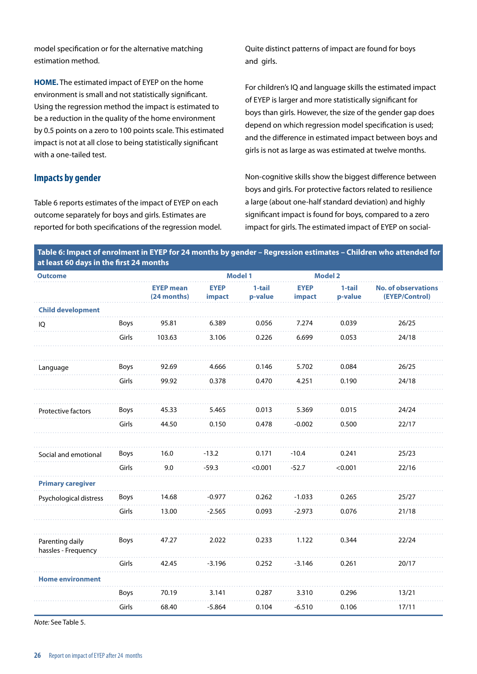model specification or for the alternative matching estimation method.

**HOME.** The estimated impact of EYEP on the home environment is small and not statistically significant. Using the regression method the impact is estimated to be a reduction in the quality of the home environment by 0.5 points on a zero to 100 points scale. This estimated impact is not at all close to being statistically significant with a one-tailed test.

#### **Impacts by gender**

Table 6 reports estimates of the impact of EYEP on each outcome separately for boys and girls. Estimates are reported for both specifications of the regression model. Quite distinct patterns of impact are found for boys and girls.

For children's IQ and language skills the estimated impact of EYEP is larger and more statistically significant for boys than girls. However, the size of the gender gap does depend on which regression model specification is used; and the difference in estimated impact between boys and girls is not as large as was estimated at twelve months.

Non-cognitive skills show the biggest difference between boys and girls. For protective factors related to resilience a large (about one-half standard deviation) and highly significant impact is found for boys, compared to a zero impact for girls. The estimated impact of EYEP on social-

|                                         | Table 6: Impact of enrolment in EYEP for 24 months by gender – Regression estimates – Children who attended for |
|-----------------------------------------|-----------------------------------------------------------------------------------------------------------------|
| at least 60 days in the first 24 months |                                                                                                                 |

| <b>Outcome</b>                         |       |                                 | <b>Model 1</b>        |                     |                       | <b>Model 2</b>    |                                              |
|----------------------------------------|-------|---------------------------------|-----------------------|---------------------|-----------------------|-------------------|----------------------------------------------|
|                                        |       | <b>EYEP mean</b><br>(24 months) | <b>EYEP</b><br>impact | $1-tail$<br>p-value | <b>EYEP</b><br>impact | 1-tail<br>p-value | <b>No. of observations</b><br>(EYEP/Control) |
| <b>Child development</b>               |       |                                 |                       |                     |                       |                   |                                              |
| IQ                                     | Boys  | 95.81                           | 6.389                 | 0.056               | 7.274                 | 0.039             | 26/25                                        |
|                                        | Girls | 103.63                          | 3.106                 | 0.226               | 6.699                 | 0.053             | 24/18                                        |
| Language                               | Boys  | 92.69                           | 4.666                 | 0.146               | 5.702                 | 0.084             | 26/25                                        |
|                                        | Girls | 99.92                           | 0.378                 | 0.470               | 4.251                 | 0.190             | 24/18                                        |
| Protective factors                     | Boys  | 45.33                           | 5.465                 | 0.013               | 5.369                 | 0.015             | 24/24                                        |
|                                        | Girls | 44.50                           | 0.150                 | 0.478               | $-0.002$              | 0.500             | 22/17                                        |
|                                        |       |                                 |                       |                     |                       |                   |                                              |
| Social and emotional                   | Boys  | 16.0                            | $-13.2$               | 0.171               | $-10.4$               | 0.241             | 25/23                                        |
|                                        | Girls | 9.0                             | $-59.3$               | < 0.001             | $-52.7$               | < 0.001           | 22/16                                        |
| <b>Primary caregiver</b>               |       |                                 |                       |                     |                       |                   |                                              |
| Psychological distress                 | Boys  | 14.68                           | $-0.977$              | 0.262               | $-1.033$              | 0.265             | 25/27                                        |
|                                        | Girls | 13.00                           | $-2.565$              | 0.093               | $-2.973$              | 0.076             | 21/18                                        |
| Parenting daily<br>hassles - Frequency | Boys  | 47.27                           | 2.022                 | 0.233               | 1.122                 | 0.344             | 22/24                                        |
|                                        | Girls | 42.45                           | $-3.196$              | 0.252               | $-3.146$              | 0.261             | 20/17                                        |
| <b>Home environment</b>                |       |                                 |                       |                     |                       |                   |                                              |
|                                        | Boys  | 70.19                           | 3.141                 | 0.287               | 3.310                 | 0.296             | 13/21                                        |
|                                        | Girls | 68.40                           | $-5.864$              | 0.104               | $-6.510$              | 0.106             | 17/11                                        |

*Note:* See Table 5.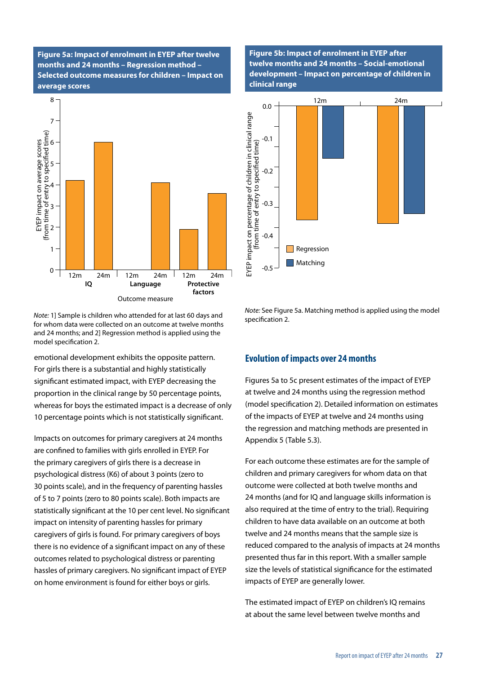**Figure 5a: Impact of enrolment in EYEP after twelve months and 24 months – Regression method – Selected outcome measures for children – Impact on average scores**



*Note:* 1] Sample is children who attended for at last 60 days and for whom data were collected on an outcome at twelve months and 24 months; and 2] Regression method is applied using the model specification 2.

emotional development exhibits the opposite pattern. For girls there is a substantial and highly statistically significant estimated impact, with EYEP decreasing the proportion in the clinical range by 50 percentage points, whereas for boys the estimated impact is a decrease of only 10 percentage points which is not statistically significant.

Impacts on outcomes for primary caregivers at 24 months are confined to families with girls enrolled in EYEP. For the primary caregivers of girls there is a decrease in psychological distress (K6) of about 3 points (zero to 30 points scale), and in the frequency of parenting hassles of 5 to 7 points (zero to 80 points scale). Both impacts are statistically significant at the 10 per cent level. No significant impact on intensity of parenting hassles for primary caregivers of girls is found. For primary caregivers of boys there is no evidence of a significant impact on any of these outcomes related to psychological distress or parenting hassles of primary caregivers. No significant impact of EYEP on home environment is found for either boys or girls.

**Figure 5b: Impact of enrolment in EYEP after twelve months and 24 months – Social-emotional development – Impact on percentage of children in clinical range**



*Note:* See Figure 5a. Matching method is applied using the model specification 2.

#### **Evolution of impacts over 24 months**

Figures 5a to 5c present estimates of the impact of EYEP at twelve and 24 months using the regression method (model specification 2). Detailed information on estimates of the impacts of EYEP at twelve and 24 months using the regression and matching methods are presented in Appendix 5 (Table 5.3).

For each outcome these estimates are for the sample of children and primary caregivers for whom data on that outcome were collected at both twelve months and 24 months (and for IQ and language skills information is also required at the time of entry to the trial). Requiring children to have data available on an outcome at both twelve and 24 months means that the sample size is reduced compared to the analysis of impacts at 24 months presented thus far in this report. With a smaller sample size the levels of statistical significance for the estimated impacts of EYEP are generally lower.

The estimated impact of EYEP on children's IQ remains at about the same level between twelve months and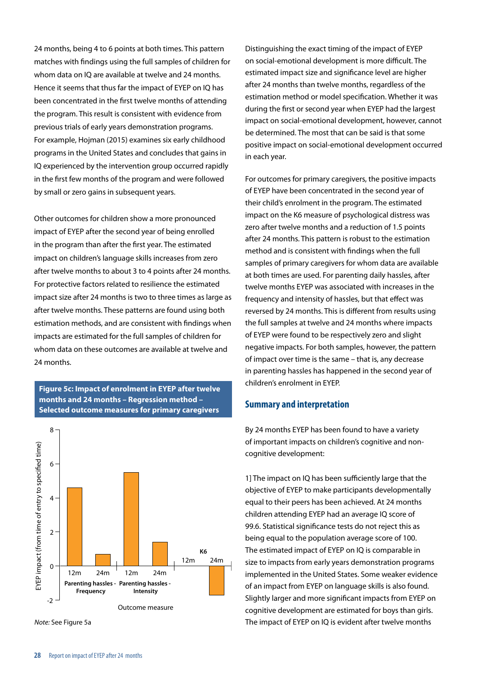24 months, being 4 to 6 points at both times. This pattern matches with findings using the full samples of children for whom data on IQ are available at twelve and 24 months. Hence it seems that thus far the impact of EYEP on IQ has been concentrated in the first twelve months of attending the program. This result is consistent with evidence from previous trials of early years demonstration programs. For example, Hojman (2015) examines six early childhood programs in the United States and concludes that gains in IQ experienced by the intervention group occurred rapidly in the first few months of the program and were followed by small or zero gains in subsequent years.

Other outcomes for children show a more pronounced impact of EYEP after the second year of being enrolled in the program than after the first year. The estimated impact on children's language skills increases from zero after twelve months to about 3 to 4 points after 24 months. For protective factors related to resilience the estimated impact size after 24 months is two to three times as large as after twelve months. These patterns are found using both estimation methods, and are consistent with findings when impacts are estimated for the full samples of children for whom data on these outcomes are available at twelve and 24 months.

**Figure 5c: Impact of enrolment in EYEP after twelve months and 24 months – Regression method – Selected outcome measures for primary caregivers**



*Note:* See Figure 5a

Distinguishing the exact timing of the impact of EYEP on social-emotional development is more difficult. The estimated impact size and significance level are higher after 24 months than twelve months, regardless of the estimation method or model specification. Whether it was during the first or second year when EYEP had the largest impact on social-emotional development, however, cannot be determined. The most that can be said is that some positive impact on social-emotional development occurred in each year.

For outcomes for primary caregivers, the positive impacts of EYEP have been concentrated in the second year of their child's enrolment in the program. The estimated impact on the K6 measure of psychological distress was zero after twelve months and a reduction of 1.5 points after 24 months. This pattern is robust to the estimation method and is consistent with findings when the full samples of primary caregivers for whom data are available at both times are used. For parenting daily hassles, after twelve months EYEP was associated with increases in the frequency and intensity of hassles, but that effect was reversed by 24 months. This is different from results using the full samples at twelve and 24 months where impacts of EYEP were found to be respectively zero and slight negative impacts. For both samples, however, the pattern of impact over time is the same – that is, any decrease in parenting hassles has happened in the second year of children's enrolment in EYEP.

#### **Summary and interpretation**

By 24 months EYEP has been found to have a variety of important impacts on children's cognitive and noncognitive development:

1] The impact on IQ has been sufficiently large that the objective of EYEP to make participants developmentally equal to their peers has been achieved. At 24 months children attending EYEP had an average IQ score of 99.6. Statistical significance tests do not reject this as being equal to the population average score of 100. The estimated impact of EYEP on IQ is comparable in size to impacts from early years demonstration programs implemented in the United States. Some weaker evidence of an impact from EYEP on language skills is also found. Slightly larger and more significant impacts from EYEP on cognitive development are estimated for boys than girls. The impact of EYEP on IQ is evident after twelve months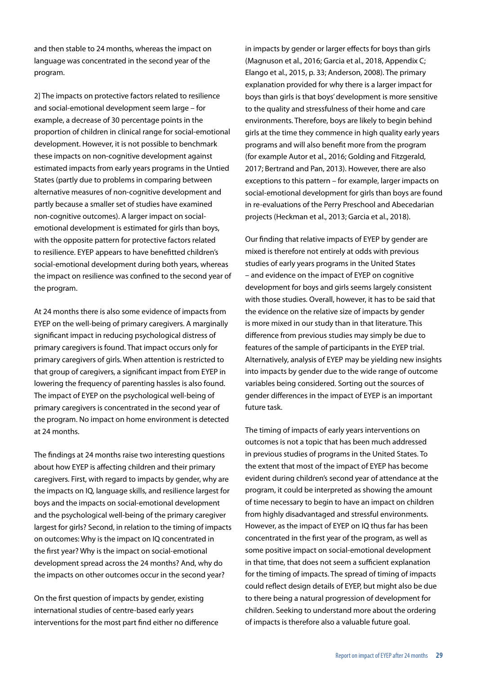and then stable to 24 months, whereas the impact on language was concentrated in the second year of the program.

2] The impacts on protective factors related to resilience and social-emotional development seem large – for example, a decrease of 30 percentage points in the proportion of children in clinical range for social-emotional development. However, it is not possible to benchmark these impacts on non-cognitive development against estimated impacts from early years programs in the Untied States (partly due to problems in comparing between alternative measures of non-cognitive development and partly because a smaller set of studies have examined non-cognitive outcomes). A larger impact on socialemotional development is estimated for girls than boys, with the opposite pattern for protective factors related to resilience. EYEP appears to have benefitted children's social-emotional development during both years, whereas the impact on resilience was confined to the second year of the program.

At 24 months there is also some evidence of impacts from EYEP on the well-being of primary caregivers. A marginally significant impact in reducing psychological distress of primary caregivers is found. That impact occurs only for primary caregivers of girls. When attention is restricted to that group of caregivers, a significant impact from EYEP in lowering the frequency of parenting hassles is also found. The impact of EYEP on the psychological well-being of primary caregivers is concentrated in the second year of the program. No impact on home environment is detected at 24 months.

The findings at 24 months raise two interesting questions about how EYEP is affecting children and their primary caregivers. First, with regard to impacts by gender, why are the impacts on IQ, language skills, and resilience largest for boys and the impacts on social-emotional development and the psychological well-being of the primary caregiver largest for girls? Second, in relation to the timing of impacts on outcomes: Why is the impact on IQ concentrated in the first year? Why is the impact on social-emotional development spread across the 24 months? And, why do the impacts on other outcomes occur in the second year?

On the first question of impacts by gender, existing international studies of centre-based early years interventions for the most part find either no difference in impacts by gender or larger effects for boys than girls (Magnuson et al., 2016; Garcia et al., 2018, Appendix C; Elango et al., 2015, p. 33; Anderson, 2008). The primary explanation provided for why there is a larger impact for boys than girls is that boys' development is more sensitive to the quality and stressfulness of their home and care environments. Therefore, boys are likely to begin behind girls at the time they commence in high quality early years programs and will also benefit more from the program (for example Autor et al., 2016; Golding and Fitzgerald, 2017; Bertrand and Pan, 2013). However, there are also exceptions to this pattern – for example, larger impacts on social-emotional development for girls than boys are found in re-evaluations of the Perry Preschool and Abecedarian projects (Heckman et al., 2013; Garcia et al., 2018).

Our finding that relative impacts of EYEP by gender are mixed is therefore not entirely at odds with previous studies of early years programs in the United States – and evidence on the impact of EYEP on cognitive development for boys and girls seems largely consistent with those studies. Overall, however, it has to be said that the evidence on the relative size of impacts by gender is more mixed in our study than in that literature. This difference from previous studies may simply be due to features of the sample of participants in the EYEP trial. Alternatively, analysis of EYEP may be yielding new insights into impacts by gender due to the wide range of outcome variables being considered. Sorting out the sources of gender differences in the impact of EYEP is an important future task.

The timing of impacts of early years interventions on outcomes is not a topic that has been much addressed in previous studies of programs in the United States. To the extent that most of the impact of EYEP has become evident during children's second year of attendance at the program, it could be interpreted as showing the amount of time necessary to begin to have an impact on children from highly disadvantaged and stressful environments. However, as the impact of EYEP on IQ thus far has been concentrated in the first year of the program, as well as some positive impact on social-emotional development in that time, that does not seem a sufficient explanation for the timing of impacts. The spread of timing of impacts could reflect design details of EYEP, but might also be due to there being a natural progression of development for children. Seeking to understand more about the ordering of impacts is therefore also a valuable future goal.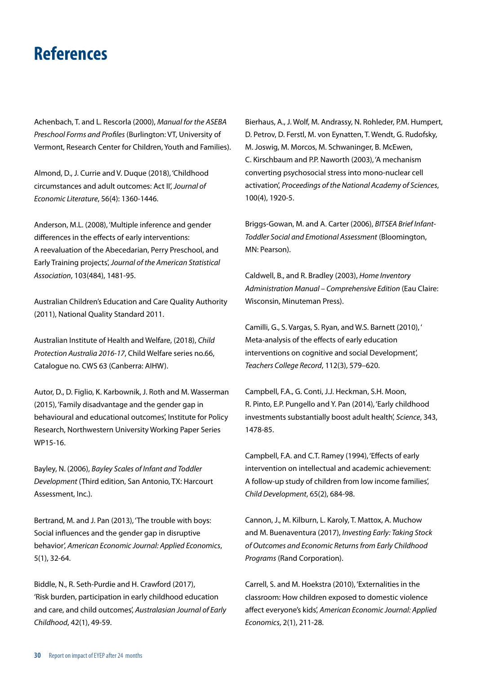### <span id="page-31-0"></span>**References**

Achenbach, T. and L. Rescorla (2000), *Manual for the ASEBA Preschool Forms and Profiles* (Burlington: VT, University of Vermont, Research Center for Children, Youth and Families).

Almond, D., J. Currie and V. Duque (2018), 'Childhood circumstances and adult outcomes: Act II', *Journal of Economic Literature*, 56(4): 1360-1446.

Anderson, M.L. (2008), 'Multiple inference and gender differences in the effects of early interventions: A reevaluation of the Abecedarian, Perry Preschool, and Early Training projects', *Journal of the American Statistical Association*, 103(484), 1481-95.

Australian Children's Education and Care Quality Authority (2011), National Quality Standard 2011.

Australian Institute of Health and Welfare, (2018), *Child Protection Australia 2016-17*, Child Welfare series no.66, Catalogue no. CWS 63 (Canberra: AIHW).

Autor, D., D. Figlio, K. Karbownik, J. Roth and M. Wasserman (2015), 'Family disadvantage and the gender gap in behavioural and educational outcomes', Institute for Policy Research, Northwestern University Working Paper Series WP15-16.

Bayley, N. (2006), *Bayley Scales of Infant and Toddler Development* (Third edition, San Antonio, TX: Harcourt Assessment, Inc.).

Bertrand, M. and J. Pan (2013), 'The trouble with boys: Social influences and the gender gap in disruptive behavior', *American Economic Journal: Applied Economics*, 5(1), 32-64.

Biddle, N., R. Seth-Purdie and H. Crawford (2017), 'Risk burden, participation in early childhood education and care, and child outcomes', *Australasian Journal of Early Childhood*, 42(1), 49-59.

Bierhaus, A., J. Wolf, M. Andrassy, N. Rohleder, P.M. Humpert, D. Petrov, D. Ferstl, M. von Eynatten, T. Wendt, G. Rudofsky, M. Joswig, M. Morcos, M. Schwaninger, B. McEwen, C. Kirschbaum and P.P. Naworth (2003), 'A mechanism converting psychosocial stress into mono-nuclear cell activation', *Proceedings of the National Academy of Sciences*, 100(4), 1920-5.

Briggs-Gowan, M. and A. Carter (2006), *BITSEA Brief Infant-Toddler Social and Emotional Assessment* (Bloomington, MN: Pearson).

Caldwell, B., and R. Bradley (2003), *Home Inventory Administration Manual – Comprehensive Edition* (Eau Claire: Wisconsin, Minuteman Press).

Camilli, G., S. Vargas, S. Ryan, and W.S. Barnett (2010), ' Meta-analysis of the effects of early education interventions on cognitive and social Development', *Teachers College Record*, 112(3), 579–620.

Campbell, F.A., G. Conti, J.J. Heckman, S.H. Moon, R. Pinto, E.P. Pungello and Y. Pan (2014), 'Early childhood investments substantially boost adult health', *Science*, 343, 1478-85.

Campbell, F.A. and C.T. Ramey (1994), 'Effects of early intervention on intellectual and academic achievement: A follow-up study of children from low income families', *Child Development*, 65(2), 684-98.

Cannon, J., M. Kilburn, L. Karoly, T. Mattox, A. Muchow and M. Buenaventura (2017), *Investing Early: Taking Stock of Outcomes and Economic Returns from Early Childhood Programs* (Rand Corporation).

Carrell, S. and M. Hoekstra (2010), 'Externalities in the classroom: How children exposed to domestic violence affect everyone's kids', *American Economic Journal: Applied Economics*, 2(1), 211-28.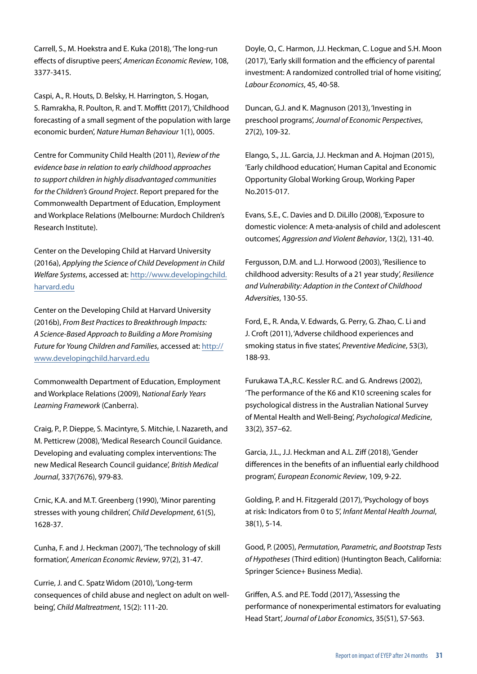Carrell, S., M. Hoekstra and E. Kuka (2018), 'The long-run effects of disruptive peers', *American Economic Review*, 108, 3377-3415.

Caspi, A., R. Houts, D. Belsky, H. Harrington, S. Hogan, S. Ramrakha, R. Poulton, R. and T. Moffitt (2017), 'Childhood forecasting of a small segment of the population with large economic burden', *Nature Human Behaviour* 1(1), 0005.

Centre for Community Child Health (2011), *Review of the evidence base in relation to early childhood approaches to support children in highly disadvantaged communities for the Children's Ground Project*. Report prepared for the Commonwealth Department of Education, Employment and Workplace Relations (Melbourne: Murdoch Children's Research Institute).

Center on the Developing Child at Harvard University (2016a), *Applying the Science of Child Development in Child Welfare Systems*, accessed at: [http://www.developingchild.](http://www.developingchild.harvard.edu) [harvard.edu](http://www.developingchild.harvard.edu)

Center on the Developing Child at Harvard University (2016b), *From Best Practices to Breakthrough Impacts: A Science-Based Approach to Building a More Promising Future for Young Children and Families*, accessed at: [http://](http://www.developingchild.harvard.edu) [www.developingchild.harvard.edu](http://www.developingchild.harvard.edu)

Commonwealth Department of Education, Employment and Workplace Relations (2009), N*ational Early Years Learning Framework* (Canberra).

Craig, P., P. Dieppe, S. Macintyre, S. Mitchie, I. Nazareth, and M. Petticrew (2008), 'Medical Research Council Guidance. Developing and evaluating complex interventions: The new Medical Research Council guidance', *British Medical Journal*, 337(7676), 979-83.

Crnic, K.A. and M.T. Greenberg (1990), 'Minor parenting stresses with young children', *Child Development*, 61(5), 1628-37.

Cunha, F. and J. Heckman (2007), 'The technology of skill formation', *American Economic Review*, 97(2), 31-47.

Currie, J. and C. Spatz Widom (2010), 'Long-term consequences of child abuse and neglect on adult on wellbeing', *Child Maltreatment*, 15(2): 111-20.

Doyle, O., C. Harmon, J.J. Heckman, C. Logue and S.H. Moon (2017), 'Early skill formation and the efficiency of parental investment: A randomized controlled trial of home visiting', *Labour Economics*, 45, 40-58.

Duncan, G.J. and K. Magnuson (2013), 'Investing in preschool programs', *Journal of Economic Perspectives*, 27(2), 109-32.

Elango, S., J.L. Garcia, J.J. Heckman and A. Hojman (2015), 'Early childhood education', Human Capital and Economic Opportunity Global Working Group, Working Paper No.2015-017.

Evans, S.E., C. Davies and D. DiLillo (2008), 'Exposure to domestic violence: A meta-analysis of child and adolescent outcomes', *Aggression and Violent Behavior*, 13(2), 131-40.

Fergusson, D.M. and L.J. Horwood (2003), 'Resilience to childhood adversity: Results of a 21 year study', *Resilience and Vulnerability: Adaption in the Context of Childhood Adversities*, 130-55.

Ford, E., R. Anda, V. Edwards, G. Perry, G. Zhao, C. Li and J. Croft (2011), 'Adverse childhood experiences and smoking status in five states', *Preventive Medicine*, 53(3), 188-93.

Furukawa T.A.,R.C. Kessler R.C. and G. Andrews (2002), 'The performance of the K6 and K10 screening scales for psychological distress in the Australian National Survey of Mental Health and Well-Being', *Psychological Medicine*, 33(2), 357–62.

Garcia, J.L., J.J. Heckman and A.L. Ziff (2018), 'Gender differences in the benefits of an influential early childhood program', *European Economic Review*, 109, 9-22.

Golding, P. and H. Fitzgerald (2017), 'Psychology of boys at risk: Indicators from 0 to 5', *Infant Mental Health Journal*, 38(1), 5-14.

Good, P. (2005), *Permutation, Parametric, and Bootstrap Tests of Hypotheses* (Third edition) (Huntington Beach, California: Springer Science+ Business Media).

Griffen, A.S. and P.E. Todd (2017), 'Assessing the performance of nonexperimental estimators for evaluating Head Start', *Journal of Labor Economics*, 35(S1), S7-S63.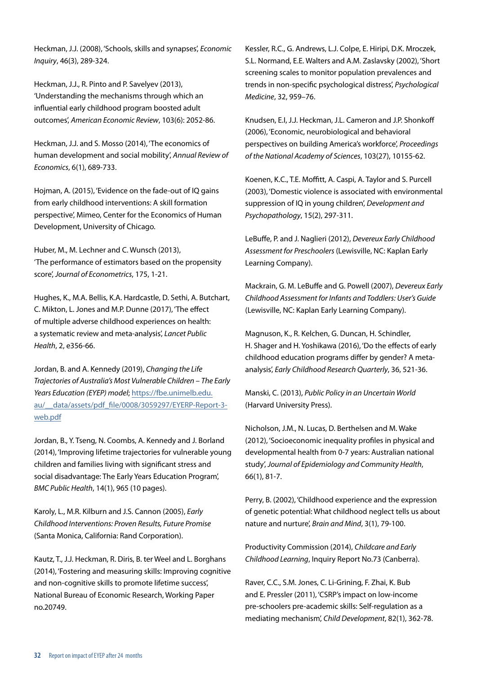Heckman, J.J. (2008), 'Schools, skills and synapses', *Economic Inquiry*, 46(3), 289-324.

Heckman, J.J., R. Pinto and P. Savelyev (2013), 'Understanding the mechanisms through which an influential early childhood program boosted adult outcomes', *American Economic Review*, 103(6): 2052-86.

Heckman, J.J. and S. Mosso (2014), 'The economics of human development and social mobility', *Annual Review of Economics*, 6(1), 689-733.

Hojman, A. (2015), 'Evidence on the fade-out of IQ gains from early childhood interventions: A skill formation perspective', Mimeo, Center for the Economics of Human Development, University of Chicago.

Huber, M., M. Lechner and C. Wunsch (2013), 'The performance of estimators based on the propensity score', *Journal of Econometrics*, 175, 1-21.

Hughes, K., M.A. Bellis, K.A. Hardcastle, D. Sethi, A. Butchart, C. Mikton, L. Jones and M.P. Dunne (2017), 'The effect of multiple adverse childhood experiences on health: a systematic review and meta-analysis', *Lancet Public Health*, 2, e356-66.

Jordan, B. and A. Kennedy (2019), *Changing the Life Trajectories of Australia's Most Vulnerable Children – The Early Years Education (EYEP) model*; [https://fbe.unimelb.edu.](https://fbe.unimelb.edu.au/__data/assets/pdf_file/0008/3059297/EYERP-Report-3-web.pdf) au/ data/assets/pdf file/0008/3059297/EYERP-Report-3[web.pdf](https://fbe.unimelb.edu.au/__data/assets/pdf_file/0008/3059297/EYERP-Report-3-web.pdf)

Jordan, B., Y. Tseng, N. Coombs, A. Kennedy and J. Borland (2014), 'Improving lifetime trajectories for vulnerable young children and families living with significant stress and social disadvantage: The Early Years Education Program', *BMC Public Health*, 14(1), 965 (10 pages).

Karoly, L., M.R. Kilburn and J.S. Cannon (2005), *Early Childhood Interventions: Proven Results, Future Promise* (Santa Monica, California: Rand Corporation).

Kautz, T., J.J. Heckman, R. Diris, B. ter Weel and L. Borghans (2014), 'Fostering and measuring skills: Improving cognitive and non-cognitive skills to promote lifetime success', National Bureau of Economic Research, Working Paper no.20749.

Kessler, R.C., G. Andrews, L.J. Colpe, E. Hiripi, D.K. Mroczek, S.L. Normand, E.E. Walters and A.M. Zaslavsky (2002), 'Short screening scales to monitor population prevalences and trends in non-specific psychological distress', *Psychological Medicine*, 32, 959–76.

Knudsen, E.I, J.J. Heckman, J.L. Cameron and J.P. Shonkoff (2006), 'Economic, neurobiological and behavioral perspectives on building America's workforce', *Proceedings of the National Academy of Sciences*, 103(27), 10155-62.

Koenen, K.C., T.E. Moffitt, A. Caspi, A. Taylor and S. Purcell (2003), 'Domestic violence is associated with environmental suppression of IQ in young children', *Development and Psychopathology*, 15(2), 297-311.

LeBuffe, P. and J. Naglieri (2012), *Devereux Early Childhood Assessment for Preschoolers* (Lewisville, NC: Kaplan Early Learning Company).

Mackrain, G. M. LeBuffe and G. Powell (2007), *Devereux Early Childhood Assessment for Infants and Toddlers: User's Guide* (Lewisville, NC: Kaplan Early Learning Company).

Magnuson, K., R. Kelchen, G. Duncan, H. Schindler, H. Shager and H. Yoshikawa (2016), 'Do the effects of early childhood education programs differ by gender? A metaanalysis', *Early Childhood Research Quarterly*, 36, 521-36.

Manski, C. (2013), *Public Policy in an Uncertain World* (Harvard University Press).

Nicholson, J.M., N. Lucas, D. Berthelsen and M. Wake (2012), 'Socioeconomic inequality profiles in physical and developmental health from 0-7 years: Australian national study', *Journal of Epidemiology and Community Health*, 66(1), 81-7.

Perry, B. (2002), 'Childhood experience and the expression of genetic potential: What childhood neglect tells us about nature and nurture', *Brain and Mind*, 3(1), 79-100.

Productivity Commission (2014), *Childcare and Early Childhood Learning*, Inquiry Report No.73 (Canberra).

Raver, C.C., S.M. Jones, C. Li-Grining, F. Zhai, K. Bub and E. Pressler (2011), 'CSRP's impact on low-income pre-schoolers pre-academic skills: Self-regulation as a mediating mechanism', *Child Development*, 82(1), 362-78.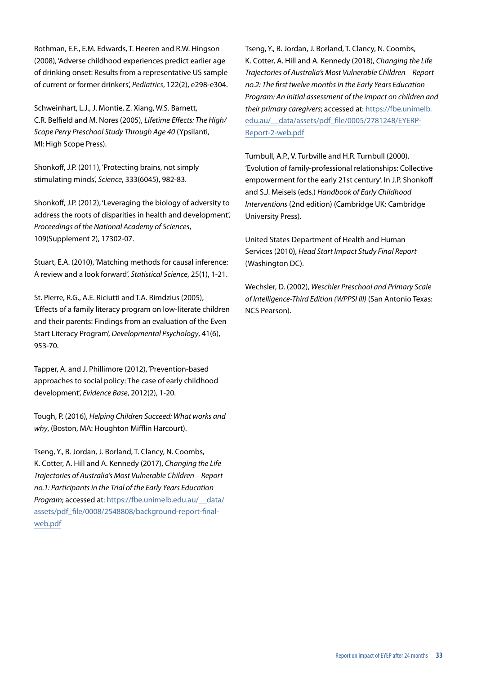Rothman, E.F., E.M. Edwards, T. Heeren and R.W. Hingson (2008), 'Adverse childhood experiences predict earlier age of drinking onset: Results from a representative US sample of current or former drinkers', *Pediatrics*, 122(2), e298-e304.

Schweinhart, L.J., J. Montie, Z. Xiang, W.S. Barnett, C.R. Belfield and M. Nores (2005), *Lifetime Effects: The High/ Scope Perry Preschool Study Through Age 40* (Ypsilanti, MI: High Scope Press).

Shonkoff, J.P. (2011), 'Protecting brains, not simply stimulating minds', *Science*, 333(6045), 982-83.

Shonkoff, J.P. (2012), 'Leveraging the biology of adversity to address the roots of disparities in health and development', *Proceedings of the National Academy of Sciences*, 109(Supplement 2), 17302-07.

Stuart, E.A. (2010), 'Matching methods for causal inference: A review and a look forward', *Statistical Science*, 25(1), 1-21.

St. Pierre, R.G., A.E. Riciutti and T.A. Rimdzius (2005), 'Effects of a family literacy program on low-literate children and their parents: Findings from an evaluation of the Even Start Literacy Program', *Developmental Psychology*, 41(6), 953-70.

Tapper, A. and J. Phillimore (2012), 'Prevention-based approaches to social policy: The case of early childhood development', *Evidence Base*, 2012(2), 1-20.

Tough, P. (2016), *Helping Children Succeed: What works and why*, (Boston, MA: Houghton Mifflin Harcourt).

Tseng, Y., B. Jordan, J. Borland, T. Clancy, N. Coombs, K. Cotter, A. Hill and A. Kennedy (2017), *Changing the Life Trajectories of Australia's Most Vulnerable Children – Report no.1: Participants in the Trial of the Early Years Education Program*; accessed at: [https://fbe.unimelb.edu.au/\\_\\_data/](https://fbe.unimelb.edu.au/__data/assets/pdf_file/0008/2548808/background-report-final-web.pdf) [assets/pdf\\_file/0008/2548808/background-report-final](https://fbe.unimelb.edu.au/__data/assets/pdf_file/0008/2548808/background-report-final-web.pdf)[web.pdf](https://fbe.unimelb.edu.au/__data/assets/pdf_file/0008/2548808/background-report-final-web.pdf)

Tseng, Y., B. Jordan, J. Borland, T. Clancy, N. Coombs, K. Cotter, A. Hill and A. Kennedy (2018), *Changing the Life Trajectories of Australia's Most Vulnerable Children – Report no.2: The first twelve months in the Early Years Education Program: An initial assessment of the impact on children and their primary caregivers*; accessed at: [https://fbe.unimelb.](https://fbe.unimelb.edu.au/__data/assets/pdf_file/0005/2781248/EYERP-Report-2-web.pdf) [edu.au/\\_\\_data/assets/pdf\\_file/0005/2781248/EYERP-](https://fbe.unimelb.edu.au/__data/assets/pdf_file/0005/2781248/EYERP-Report-2-web.pdf)[Report-2-web.pdf](https://fbe.unimelb.edu.au/__data/assets/pdf_file/0005/2781248/EYERP-Report-2-web.pdf)

Turnbull, A.P., V. Turbville and H.R. Turnbull (2000), 'Evolution of family-professional relationships: Collective empowerment for the early 21st century'. In J.P. Shonkoff and S.J. Meisels (eds.) *Handbook of Early Childhood Interventions* (2nd edition) (Cambridge UK: Cambridge University Press).

United States Department of Health and Human Services (2010), *Head Start Impact Study Final Report* (Washington DC).

Wechsler, D. (2002), *Weschler Preschool and Primary Scale of Intelligence-Third Edition (WPPSI III)* (San Antonio Texas: NCS Pearson).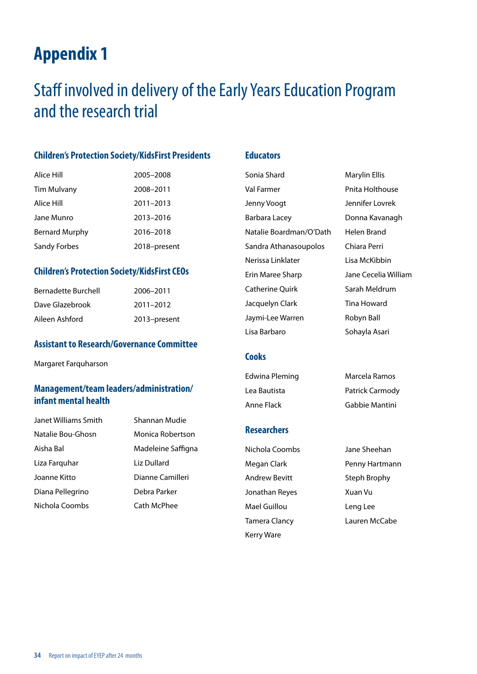# <span id="page-35-0"></span>Staff involved in delivery of the Early Years Education Program and the research trial

### **Children's Protection Society/KidsFirst Presidents**

| Alice Hill          | 2005-2008    |
|---------------------|--------------|
| Tim Mulvany         | 2008-2011    |
| Alice Hill          | 2011-2013    |
| Jane Munro          | 2013-2016    |
| Bernard Murphy      | 2016-2018    |
| <b>Sandy Forbes</b> | 2018-present |

### **Children's Protection Society/KidsFirst CEOs**

| <b>Bernadette Burchell</b> | 2006-2011    |
|----------------------------|--------------|
| Dave Glazebrook            | 2011-2012    |
| Aileen Ashford             | 2013-present |

#### **Assistant to Research/Governance Committee**

Margaret Farquharson

### **Management/team leaders/administration/ infant mental health**

Janet Williams Smith Shannan Mudie Natalie Bou-Ghosn Monica Robertson Aisha Bal Madeleine Saffigna Liza Farquhar Liz Dullard Joanne Kitto Dianne Camilleri Diana Pellegrino Debra Parker Nichola Coombs Cath McPhee

### **Educators**

Sonia Shard Marylin Ellis Val Farmer **Pnita Holthouse** Jenny Voogt Jennifer Lovrek Barbara Lacey **Donna Kavanagh** Natalie Boardman/O'Dath Helen Brand Sandra Athanasoupolos Chiara Perri Nerissa Linklater Lisa McKibbin Erin Maree Sharp Jane Cecelia William Catherine Quirk Sarah Meldrum Jacquelyn Clark Tina Howard Jaymi-Lee Warren Robyn Ball Lisa Barbaro **Sohayla Asari** 

#### **Cooks**

Edwina Pleming Marcela Ramos Lea Bautista Patrick Carmody Anne Flack Gabbie Mantini

#### **Researchers**

Megan Clark Penny Hartmann Andrew Bevitt Steph Brophy Jonathan Reyes Xuan Vu Mael Guillou **Leng Lee** Tamera Clancy Lauren McCabe Kerry Ware

Nichola Coombs Jane Sheehan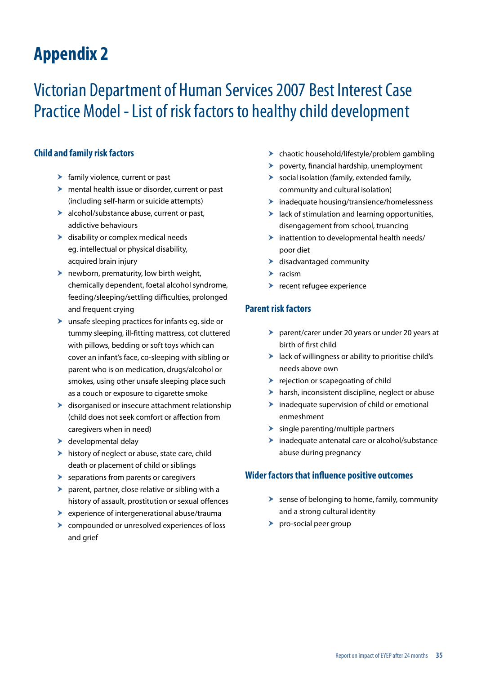# <span id="page-36-0"></span>Victorian Department of Human Services 2007 Best Interest Case Practice Model - List of risk factors to healthy child development

### **Child and family risk factors**

- $\blacktriangleright$  family violence, current or past
- $\blacktriangleright$  mental health issue or disorder, current or past (including self-harm or suicide attempts)
- $\blacktriangleright$  alcohol/substance abuse, current or past, addictive behaviours
- $\blacktriangleright$  disability or complex medical needs eg. intellectual or physical disability, acquired brain injury
- $\blacktriangleright$  newborn, prematurity, low birth weight, chemically dependent, foetal alcohol syndrome, feeding/sleeping/settling difficulties, prolonged and frequent crying
- $\blacktriangleright$  unsafe sleeping practices for infants eg. side or tummy sleeping, ill-fitting mattress, cot cluttered with pillows, bedding or soft toys which can cover an infant's face, co-sleeping with sibling or parent who is on medication, drugs/alcohol or smokes, using other unsafe sleeping place such as a couch or exposure to cigarette smoke
- $\blacktriangleright$  disorganised or insecure attachment relationship (child does not seek comfort or affection from caregivers when in need)
- $\blacktriangleright$  developmental delay
- $\blacktriangleright$  history of neglect or abuse, state care, child death or placement of child or siblings
- $\blacktriangleright$  separations from parents or caregivers
- $\blacktriangleright$  parent, partner, close relative or sibling with a history of assault, prostitution or sexual offences
- $\blacktriangleright$  experience of intergenerational abuse/trauma
- $\triangleright$  compounded or unresolved experiences of loss and grief
- $\blacktriangleright$  chaotic household/lifestyle/problem gambling
- $\blacktriangleright$  poverty, financial hardship, unemployment
- $\triangleright$  social isolation (family, extended family, community and cultural isolation)
- $\blacktriangleright$  inadequate housing/transience/homelessness
- $\blacktriangleright$  lack of stimulation and learning opportunities, disengagement from school, truancing
- $\blacktriangleright$  inattention to developmental health needs/ poor diet
- $\blacktriangleright$  disadvantaged community
- $\blacktriangleright$  racism
- $\blacktriangleright$  recent refugee experience

### **Parent risk factors**

- $\triangleright$  parent/carer under 20 years or under 20 years at birth of first child
- $\blacktriangleright$  lack of willingness or ability to prioritise child's needs above own
- $\blacktriangleright$  rejection or scapegoating of child
- $\blacktriangleright$  harsh, inconsistent discipline, neglect or abuse
- $\blacktriangleright$  inadequate supervision of child or emotional enmeshment
- $\blacktriangleright$  single parenting/multiple partners
- $\blacktriangleright$  inadequate antenatal care or alcohol/substance abuse during pregnancy

#### **Wider factors that influence positive outcomes**

- $\blacktriangleright$  sense of belonging to home, family, community and a strong cultural identity
- $\triangleright$  pro-social peer group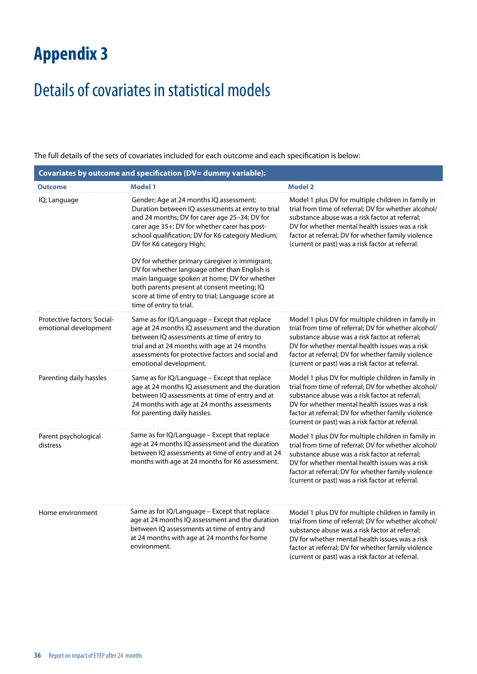# <span id="page-37-0"></span>Details of covariates in statistical models

The full details of the sets of covariates included for each outcome and each specification is below:

| Covariates by outcome and specification (DV= dummy variable): |                                                                                                                                                                                                                                                                                                                                                                                   |                                                                                                                                                                                                                                                                                                                          |  |  |  |  |
|---------------------------------------------------------------|-----------------------------------------------------------------------------------------------------------------------------------------------------------------------------------------------------------------------------------------------------------------------------------------------------------------------------------------------------------------------------------|--------------------------------------------------------------------------------------------------------------------------------------------------------------------------------------------------------------------------------------------------------------------------------------------------------------------------|--|--|--|--|
| <b>Outcome</b>                                                | <b>Model 1</b>                                                                                                                                                                                                                                                                                                                                                                    | <b>Model 2</b>                                                                                                                                                                                                                                                                                                           |  |  |  |  |
| IQ; Language                                                  | Gender; Age at 24 months IQ assessment;<br>Duration between IQ assessments at entry to trial<br>and 24 months; DV for carer age 25-34; DV for<br>carer age 35+; DV for whether carer has post-<br>school qualification; DV for K6 category Medium;<br>DV for K6 category High;<br>DV for whether primary caregiver is immigrant;<br>DV for whether language other than English is | Model 1 plus DV for multiple children in family in<br>trial from time of referral; DV for whether alcohol/<br>substance abuse was a risk factor at referral;<br>DV for whether mental health issues was a risk<br>factor at referral; DV for whether family violence<br>(current or past) was a risk factor at referral. |  |  |  |  |
|                                                               | main language spoken at home; DV for whether<br>both parents present at consent meeting; IQ<br>score at time of entry to trial; Language score at<br>time of entry to trial.                                                                                                                                                                                                      |                                                                                                                                                                                                                                                                                                                          |  |  |  |  |
| Protective factors; Social-<br>emotional development          | Same as for IQ/Language - Except that replace<br>age at 24 months IQ assessment and the duration<br>between IQ assessments at time of entry to<br>trial and at 24 months with age at 24 months<br>assessments for protective factors and social and<br>emotional development.                                                                                                     | Model 1 plus DV for multiple children in family in<br>trial from time of referral; DV for whether alcohol/<br>substance abuse was a risk factor at referral;<br>DV for whether mental health issues was a risk<br>factor at referral; DV for whether family violence<br>(current or past) was a risk factor at referral. |  |  |  |  |
| Parenting daily hassles                                       | Same as for IQ/Language - Except that replace<br>age at 24 months IQ assessment and the duration<br>between IQ assessments at time of entry and at<br>24 months with age at 24 months assessments<br>for parenting daily hassles.                                                                                                                                                 | Model 1 plus DV for multiple children in family in<br>trial from time of referral; DV for whether alcohol/<br>substance abuse was a risk factor at referral;<br>DV for whether mental health issues was a risk<br>factor at referral; DV for whether family violence<br>(current or past) was a risk factor at referral. |  |  |  |  |
| Parent psychological<br>distress                              | Same as for IQ/Language - Except that replace<br>age at 24 months IQ assessment and the duration<br>between IQ assessments at time of entry and at 24<br>months with age at 24 months for K6 assessment.                                                                                                                                                                          | Model 1 plus DV for multiple children in family in<br>trial from time of referral; DV for whether alcohol/<br>substance abuse was a risk factor at referral:<br>DV for whether mental health issues was a risk<br>factor at referral; DV for whether family violence<br>(current or past) was a risk factor at referral. |  |  |  |  |
| Home environment                                              | Same as for IQ/Language - Except that replace<br>age at 24 months IQ assessment and the duration<br>between IQ assessments at time of entry and<br>at 24 months with age at 24 months for home<br>environment.                                                                                                                                                                    | Model 1 plus DV for multiple children in family in<br>trial from time of referral; DV for whether alcohol/<br>substance abuse was a risk factor at referral:<br>DV for whether mental health issues was a risk<br>factor at referral; DV for whether family violence<br>(current or past) was a risk factor at referral. |  |  |  |  |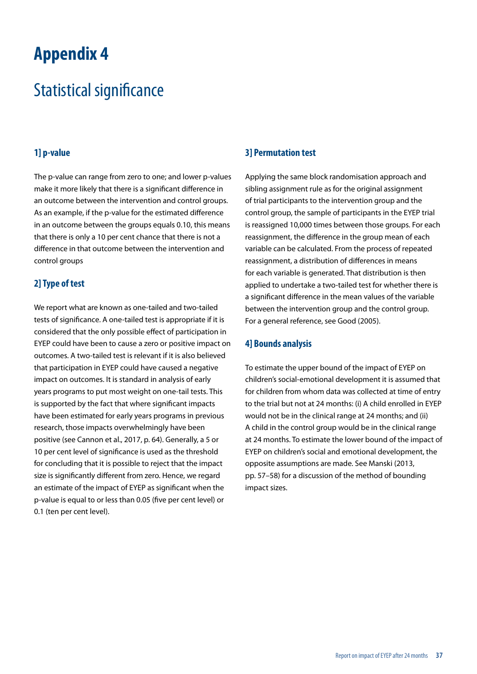# <span id="page-38-0"></span>Statistical significance

### **1] p-value**

The p-value can range from zero to one; and lower p-values make it more likely that there is a significant difference in an outcome between the intervention and control groups. As an example, if the p-value for the estimated difference in an outcome between the groups equals 0.10, this means that there is only a 10 per cent chance that there is not a difference in that outcome between the intervention and control groups

### **2] Type of test**

We report what are known as one-tailed and two-tailed tests of significance. A one-tailed test is appropriate if it is considered that the only possible effect of participation in EYEP could have been to cause a zero or positive impact on outcomes. A two-tailed test is relevant if it is also believed that participation in EYEP could have caused a negative impact on outcomes. It is standard in analysis of early years programs to put most weight on one-tail tests. This is supported by the fact that where significant impacts have been estimated for early years programs in previous research, those impacts overwhelmingly have been positive (see Cannon et al., 2017, p. 64). Generally, a 5 or 10 per cent level of significance is used as the threshold for concluding that it is possible to reject that the impact size is significantly different from zero. Hence, we regard an estimate of the impact of EYEP as significant when the p-value is equal to or less than 0.05 (five per cent level) or 0.1 (ten per cent level).

### **3] Permutation test**

Applying the same block randomisation approach and sibling assignment rule as for the original assignment of trial participants to the intervention group and the control group, the sample of participants in the EYEP trial is reassigned 10,000 times between those groups. For each reassignment, the difference in the group mean of each variable can be calculated. From the process of repeated reassignment, a distribution of differences in means for each variable is generated. That distribution is then applied to undertake a two-tailed test for whether there is a significant difference in the mean values of the variable between the intervention group and the control group. For a general reference, see Good (2005).

### **4] Bounds analysis**

To estimate the upper bound of the impact of EYEP on children's social-emotional development it is assumed that for children from whom data was collected at time of entry to the trial but not at 24 months: (i) A child enrolled in EYEP would not be in the clinical range at 24 months; and (ii) A child in the control group would be in the clinical range at 24 months. To estimate the lower bound of the impact of EYEP on children's social and emotional development, the opposite assumptions are made. See Manski (2013, pp. 57–58) for a discussion of the method of bounding impact sizes.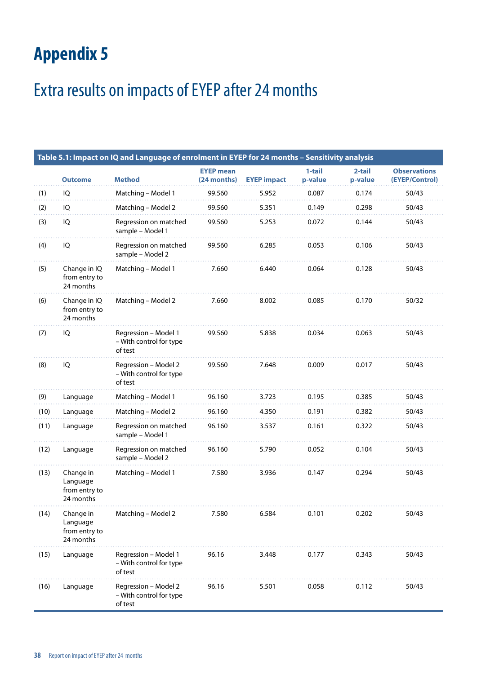# <span id="page-39-0"></span>Extra results on impacts of EYEP after 24 months

|      |                                                     | Table 5.1: Impact on IQ and Language of enrolment in EYEP for 24 months - Sensitivity analysis |                                 |                    |                   |                   |                                       |
|------|-----------------------------------------------------|------------------------------------------------------------------------------------------------|---------------------------------|--------------------|-------------------|-------------------|---------------------------------------|
|      | <b>Outcome</b>                                      | <b>Method</b>                                                                                  | <b>EYEP mean</b><br>(24 months) | <b>EYEP impact</b> | 1-tail<br>p-value | 2-tail<br>p-value | <b>Observations</b><br>(EYEP/Control) |
| (1)  | IQ                                                  | Matching - Model 1                                                                             | 99.560                          | 5.952              | 0.087             | 0.174             | 50/43                                 |
| (2)  | IQ                                                  | Matching - Model 2                                                                             | 99.560                          | 5.351              | 0.149             | 0.298             | 50/43                                 |
| (3)  | IQ                                                  | Regression on matched<br>sample - Model 1                                                      | 99.560                          | 5.253              | 0.072             | 0.144             | 50/43                                 |
| (4)  | IQ                                                  | Regression on matched<br>sample - Model 2                                                      | 99.560                          | 6.285              | 0.053             | 0.106             | 50/43                                 |
| (5)  | Change in IQ<br>from entry to<br>24 months          | Matching - Model 1                                                                             | 7.660                           | 6.440              | 0.064             | 0.128             | 50/43                                 |
| (6)  | Change in IQ<br>from entry to<br>24 months          | Matching - Model 2                                                                             | 7.660                           | 8.002              | 0.085             | 0.170             | 50/32                                 |
| (7)  | IQ                                                  | Regression - Model 1<br>- With control for type<br>of test                                     | 99.560                          | 5.838              | 0.034             | 0.063             | 50/43                                 |
| (8)  | IQ                                                  | Regression - Model 2<br>- With control for type<br>of test                                     | 99.560                          | 7.648              | 0.009             | 0.017             | 50/43                                 |
| (9)  | Language                                            | Matching - Model 1                                                                             | 96.160                          | 3.723              | 0.195             | 0.385             | 50/43                                 |
| (10) | Language                                            | Matching - Model 2                                                                             | 96.160                          | 4.350              | 0.191             | 0.382             | 50/43                                 |
| (11) | Language                                            | Regression on matched<br>sample - Model 1                                                      | 96.160                          | 3.537              | 0.161             | 0.322             | 50/43                                 |
| (12) | Language                                            | Regression on matched<br>sample - Model 2                                                      | 96.160                          | 5.790              | 0.052             | 0.104             | 50/43                                 |
| (13) | Change in<br>Language<br>from entry to<br>24 months | Matching - Model 1                                                                             | 7.580                           | 3.936              | 0.147             | 0.294             | 50/43                                 |
| (14) | Change in<br>Language<br>from entry to<br>24 months | Matching - Model 2                                                                             | 7.580                           | 6.584              | 0.101             | 0.202             | 50/43                                 |
| (15) | Language                                            | Regression - Model 1<br>- With control for type<br>of test                                     | 96.16                           | 3.448              | 0.177             | 0.343             | 50/43                                 |
| (16) | Language                                            | Regression - Model 2<br>- With control for type<br>of test                                     | 96.16                           | 5.501              | 0.058             | 0.112             | 50/43                                 |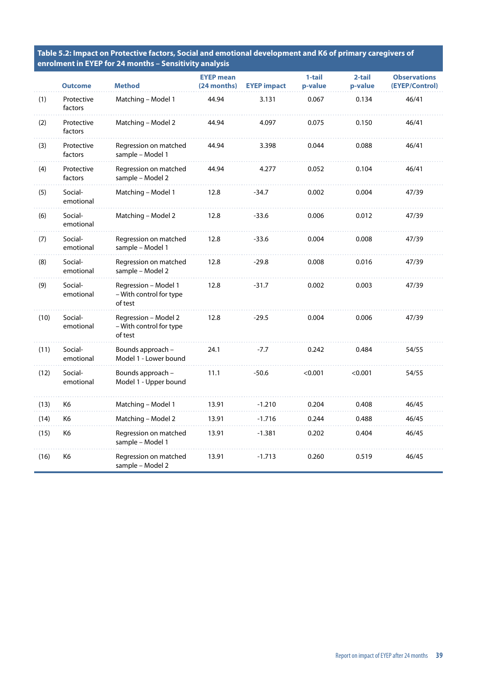**Table 5.2: Impact on Protective factors, Social and emotional development and K6 of primary caregivers of enrolment in EYEP for 24 months – Sensitivity analysis**

|      | <b>Outcome</b>        | <b>Method</b>                                              | <b>EYEP</b> mean<br>(24 months) | <b>EYEP</b> impact | 1-tail<br>p-value | 2-tail<br>p-value | <b>Observations</b><br>(EYEP/Control) |
|------|-----------------------|------------------------------------------------------------|---------------------------------|--------------------|-------------------|-------------------|---------------------------------------|
| (1)  | Protective<br>factors | Matching - Model 1                                         | 44.94                           | 3.131              | 0.067             | 0.134             | 46/41                                 |
| (2)  | Protective<br>factors | Matching - Model 2                                         | 44.94                           | 4.097              | 0.075             | 0.150             | 46/41                                 |
| (3)  | Protective<br>factors | Regression on matched<br>sample - Model 1                  | 44.94                           | 3.398              | 0.044             | 0.088             | 46/41                                 |
| (4)  | Protective<br>factors | Regression on matched<br>sample - Model 2                  | 44.94                           | 4.277              | 0.052             | 0.104             | 46/41                                 |
| (5)  | Social-<br>emotional  | Matching - Model 1                                         | 12.8                            | $-34.7$            | 0.002             | 0.004             | 47/39                                 |
| (6)  | Social-<br>emotional  | Matching – Model 2                                         | 12.8                            | $-33.6$            | 0.006             | 0.012             | 47/39                                 |
| (7)  | Social-<br>emotional  | Regression on matched<br>sample – Model 1                  | 12.8                            | $-33.6$            | 0.004             | 0.008             | 47/39                                 |
| (8)  | Social-<br>emotional  | Regression on matched<br>sample - Model 2                  | 12.8                            | $-29.8$            | 0.008             | 0.016             | 47/39                                 |
| (9)  | Social-<br>emotional  | Regression - Model 1<br>- With control for type<br>of test | 12.8                            | $-31.7$            | 0.002             | 0.003             | 47/39                                 |
| (10) | Social-<br>emotional  | Regression - Model 2<br>– With control for type<br>of test | 12.8                            | $-29.5$            | 0.004             | 0.006             | 47/39                                 |
| (11) | Social-<br>emotional  | Bounds approach -<br>Model 1 - Lower bound                 | 24.1                            | $-7.7$             | 0.242             | 0.484             | 54/55                                 |
| (12) | Social-<br>emotional  | Bounds approach -<br>Model 1 - Upper bound                 | 11.1                            | $-50.6$            | < 0.001           | < 0.001           | 54/55                                 |
| (13) | K6                    | Matching – Model 1                                         | 13.91                           | $-1.210$           | 0.204             | 0.408             | 46/45                                 |
| (14) | K6                    | Matching – Model 2                                         | 13.91                           | $-1.716$           | 0.244             | 0.488             | 46/45                                 |
| (15) | K6                    | Regression on matched<br>sample – Model 1                  | 13.91                           | $-1.381$           | 0.202             | 0.404             | 46/45                                 |
| (16) | K6                    | Regression on matched<br>sample – Model 2                  | 13.91                           | $-1.713$           | 0.260             | 0.519             | 46/45                                 |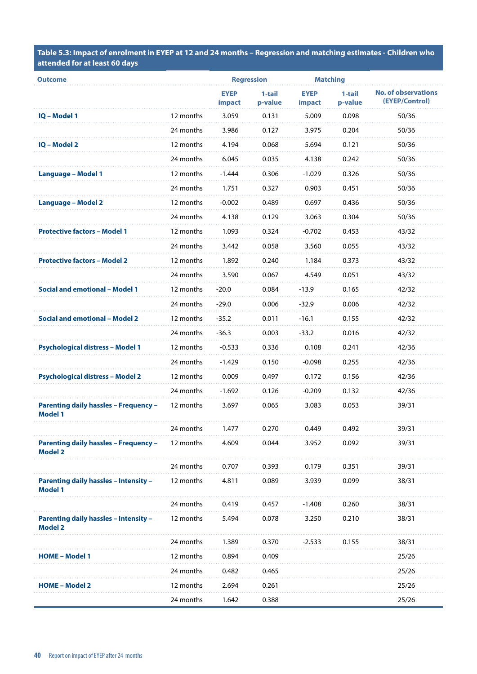**Table 5.3: Impact of enrolment in EYEP at 12 and 24 months – Regression and matching estimates - Children who attended for at least 60 days**

| <b>Outcome</b>                                                 |           | <b>Regression</b>     |                   | <b>Matching</b>       |                   |                                              |
|----------------------------------------------------------------|-----------|-----------------------|-------------------|-----------------------|-------------------|----------------------------------------------|
|                                                                |           | <b>EYEP</b><br>impact | 1-tail<br>p-value | <b>EYEP</b><br>impact | 1-tail<br>p-value | <b>No. of observations</b><br>(EYEP/Control) |
| <b>IQ - Model 1</b>                                            | 12 months | 3.059                 | 0.131             | 5.009                 | 0.098             | 50/36                                        |
|                                                                | 24 months | 3.986                 | 0.127             | 3.975                 | 0.204             | 50/36                                        |
| <b>IQ - Model 2</b>                                            | 12 months | 4.194                 | 0.068             | 5.694                 | 0.121             | 50/36                                        |
|                                                                | 24 months | 6.045                 | 0.035             | 4.138                 | 0.242             | 50/36                                        |
| <b>Language - Model 1</b>                                      | 12 months | $-1.444$              | 0.306             | $-1.029$              | 0.326             | 50/36                                        |
|                                                                | 24 months | 1.751                 | 0.327             | 0.903                 | 0.451             | 50/36                                        |
| <b>Language - Model 2</b>                                      | 12 months | $-0.002$              | 0.489             | 0.697                 | 0.436             | 50/36                                        |
|                                                                | 24 months | 4.138                 | 0.129             | 3.063                 | 0.304             | 50/36                                        |
| <b>Protective factors - Model 1</b>                            | 12 months | 1.093                 | 0.324             | $-0.702$              | 0.453             | 43/32                                        |
|                                                                | 24 months | 3.442                 | 0.058             | 3.560                 | 0.055             | 43/32                                        |
| <b>Protective factors - Model 2</b>                            | 12 months | 1.892                 | 0.240             | 1.184                 | 0.373             | 43/32                                        |
|                                                                | 24 months | 3.590                 | 0.067             | 4.549                 | 0.051             | 43/32                                        |
| <b>Social and emotional - Model 1</b>                          | 12 months | $-20.0$               | 0.084             | $-13.9$               | 0.165             | 42/32                                        |
|                                                                | 24 months | $-29.0$               | 0.006             | $-32.9$               | 0.006             | 42/32                                        |
| <b>Social and emotional - Model 2</b>                          | 12 months | $-35.2$               | 0.011             | $-16.1$               | 0.155             | 42/32                                        |
|                                                                | 24 months | $-36.3$               | 0.003             | $-33.2$               | 0.016             | 42/32                                        |
| <b>Psychological distress - Model 1</b>                        | 12 months | $-0.533$              | 0.336             | 0.108                 | 0.241             | 42/36                                        |
|                                                                | 24 months | $-1.429$              | 0.150             | $-0.098$              | 0.255             | 42/36                                        |
| <b>Psychological distress - Model 2</b>                        | 12 months | 0.009                 | 0.497             | 0.172                 | 0.156             | 42/36                                        |
|                                                                | 24 months | $-1.692$              | 0.126             | $-0.209$              | 0.132             | 42/36                                        |
| <b>Parenting daily hassles - Frequency -</b><br><b>Model 1</b> | 12 months | 3.697                 | 0.065             | 3.083                 | 0.053             | 39/31                                        |
|                                                                | 24 months | 1.477                 | 0.270             | 0.449                 | 0.492             | 39/31                                        |
| <b>Parenting daily hassles - Frequency -</b><br><b>Model 2</b> | 12 months | 4.609                 | 0.044             | 3.952                 | 0.092             | 39/31                                        |
|                                                                | 24 months | 0.707                 | 0.393             | 0.179                 | 0.351             | 39/31                                        |
| <b>Parenting daily hassles - Intensity -</b><br><b>Model 1</b> | 12 months | 4.811                 | 0.089             | 3.939                 | 0.099             | 38/31                                        |
|                                                                | 24 months | 0.419                 | 0.457             | $-1.408$              | 0.260             | 38/31                                        |
| <b>Parenting daily hassles - Intensity -</b><br><b>Model 2</b> | 12 months | 5.494                 | 0.078             | 3.250                 | 0.210             | 38/31                                        |
|                                                                | 24 months | 1.389                 | 0.370             | $-2.533$              | 0.155             | 38/31                                        |
| <b>HOME - Model 1</b>                                          | 12 months | 0.894                 | 0.409             |                       |                   | 25/26                                        |
|                                                                | 24 months | 0.482                 | 0.465             |                       |                   | 25/26                                        |
| <b>HOME - Model 2</b>                                          | 12 months | 2.694                 | 0.261             |                       |                   | 25/26                                        |
|                                                                | 24 months | 1.642                 | 0.388             |                       |                   | 25/26                                        |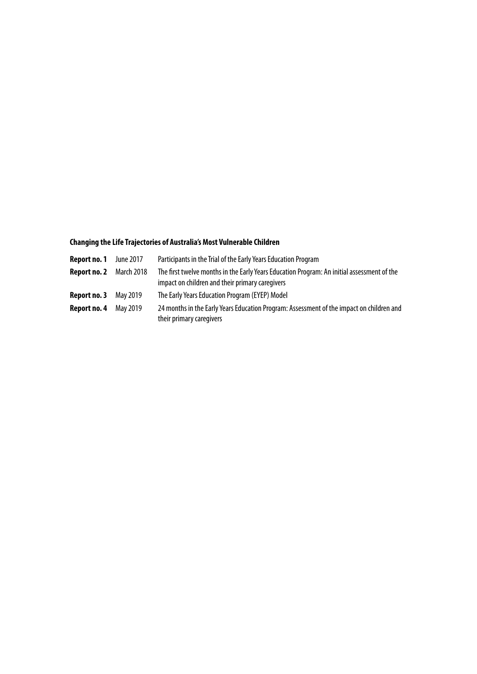### **Changing the Life Trajectories of Australia's Most Vulnerable Children**

| Report no. 1 | June 2017         | Participants in the Trial of the Early Years Education Program                                                                                |
|--------------|-------------------|-----------------------------------------------------------------------------------------------------------------------------------------------|
| Report no. 2 | <b>March 2018</b> | The first twelve months in the Early Years Education Program: An initial assessment of the<br>impact on children and their primary caregivers |
| Report no. 3 | May 2019          | The Early Years Education Program (EYEP) Model                                                                                                |
| Report no. 4 | May 2019          | 24 months in the Early Years Education Program: Assessment of the impact on children and<br>their primary caregivers                          |